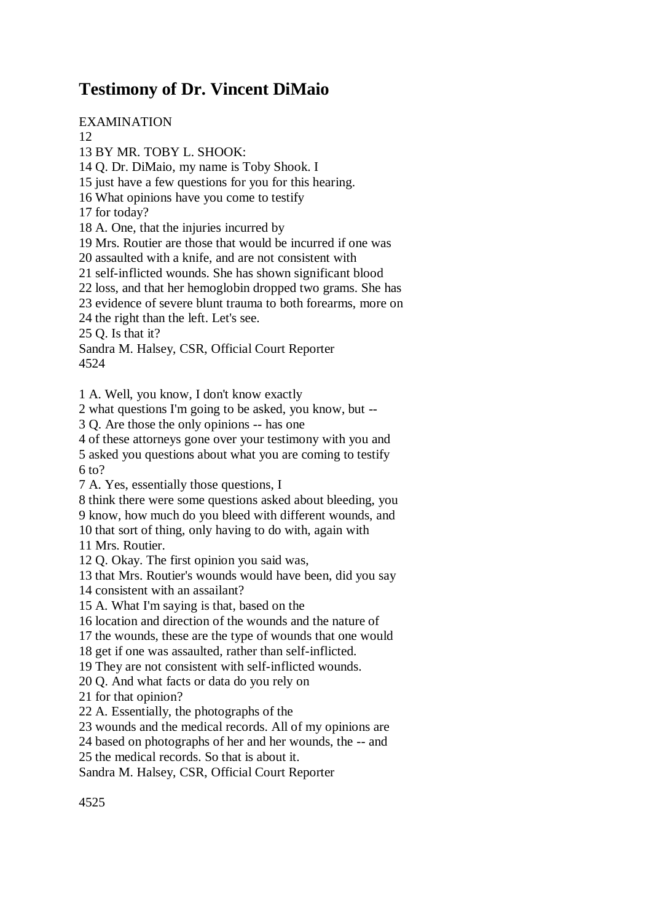## **Testimony of Dr. Vincent DiMaio**

EXAMINATION 12 13 BY MR. TOBY L. SHOOK: 14 Q. Dr. DiMaio, my name is Toby Shook. I 15 just have a few questions for you for this hearing. 16 What opinions have you come to testify 17 for today? 18 A. One, that the injuries incurred by 19 Mrs. Routier are those that would be incurred if one was 20 assaulted with a knife, and are not consistent with 21 self-inflicted wounds. She has shown significant blood 22 loss, and that her hemoglobin dropped two grams. She has 23 evidence of severe blunt trauma to both forearms, more on 24 the right than the left. Let's see. 25 Q. Is that it? Sandra M. Halsey, CSR, Official Court Reporter 4524 1 A. Well, you know, I don't know exactly 2 what questions I'm going to be asked, you know, but -- 3 Q. Are those the only opinions -- has one 4 of these attorneys gone over your testimony with you and 5 asked you questions about what you are coming to testify 6 to? 7 A. Yes, essentially those questions, I 8 think there were some questions asked about bleeding, you 9 know, how much do you bleed with different wounds, and 10 that sort of thing, only having to do with, again with

11 Mrs. Routier.

12 Q. Okay. The first opinion you said was,

13 that Mrs. Routier's wounds would have been, did you say

14 consistent with an assailant?

15 A. What I'm saying is that, based on the

16 location and direction of the wounds and the nature of

17 the wounds, these are the type of wounds that one would

18 get if one was assaulted, rather than self-inflicted.

19 They are not consistent with self-inflicted wounds.

20 Q. And what facts or data do you rely on

21 for that opinion?

22 A. Essentially, the photographs of the

23 wounds and the medical records. All of my opinions are

24 based on photographs of her and her wounds, the -- and

25 the medical records. So that is about it.

Sandra M. Halsey, CSR, Official Court Reporter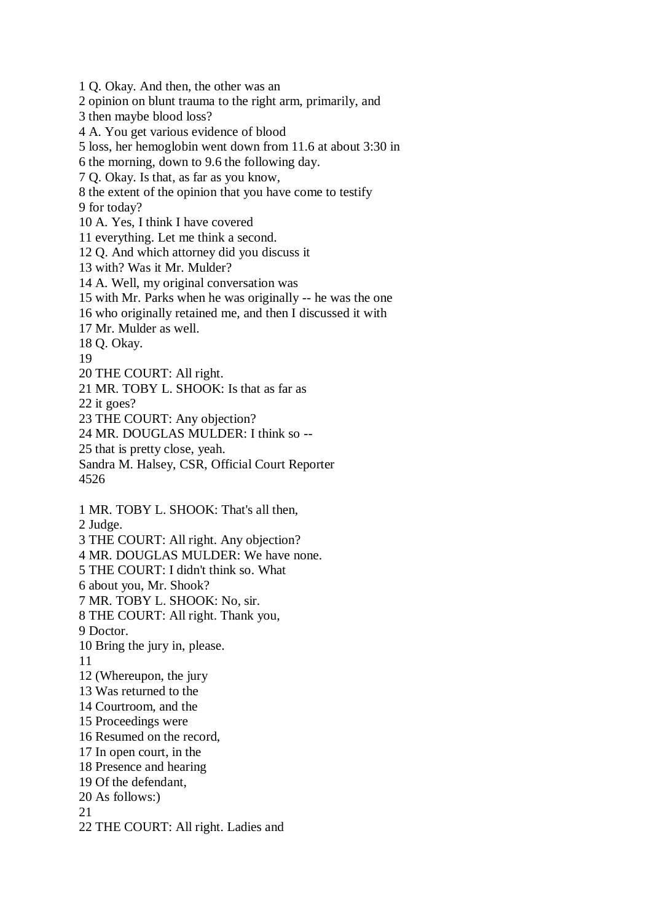1 Q. Okay. And then, the other was an

2 opinion on blunt trauma to the right arm, primarily, and

3 then maybe blood loss?

4 A. You get various evidence of blood

5 loss, her hemoglobin went down from 11.6 at about 3:30 in

6 the morning, down to 9.6 the following day.

7 Q. Okay. Is that, as far as you know,

8 the extent of the opinion that you have come to testify

9 for today?

10 A. Yes, I think I have covered

11 everything. Let me think a second.

12 Q. And which attorney did you discuss it

13 with? Was it Mr. Mulder?

14 A. Well, my original conversation was

15 with Mr. Parks when he was originally -- he was the one

16 who originally retained me, and then I discussed it with

17 Mr. Mulder as well.

18 Q. Okay.

19

20 THE COURT: All right.

21 MR. TOBY L. SHOOK: Is that as far as

22 it goes?

23 THE COURT: Any objection?

24 MR. DOUGLAS MULDER: I think so --

25 that is pretty close, yeah.

Sandra M. Halsey, CSR, Official Court Reporter 4526

1 MR. TOBY L. SHOOK: That's all then,

2 Judge.

3 THE COURT: All right. Any objection?

4 MR. DOUGLAS MULDER: We have none.

5 THE COURT: I didn't think so. What

6 about you, Mr. Shook?

7 MR. TOBY L. SHOOK: No, sir.

8 THE COURT: All right. Thank you,

9 Doctor.

10 Bring the jury in, please.

11

12 (Whereupon, the jury

13 Was returned to the

14 Courtroom, and the

15 Proceedings were

16 Resumed on the record,

17 In open court, in the

18 Presence and hearing

19 Of the defendant,

20 As follows:)

21

22 THE COURT: All right. Ladies and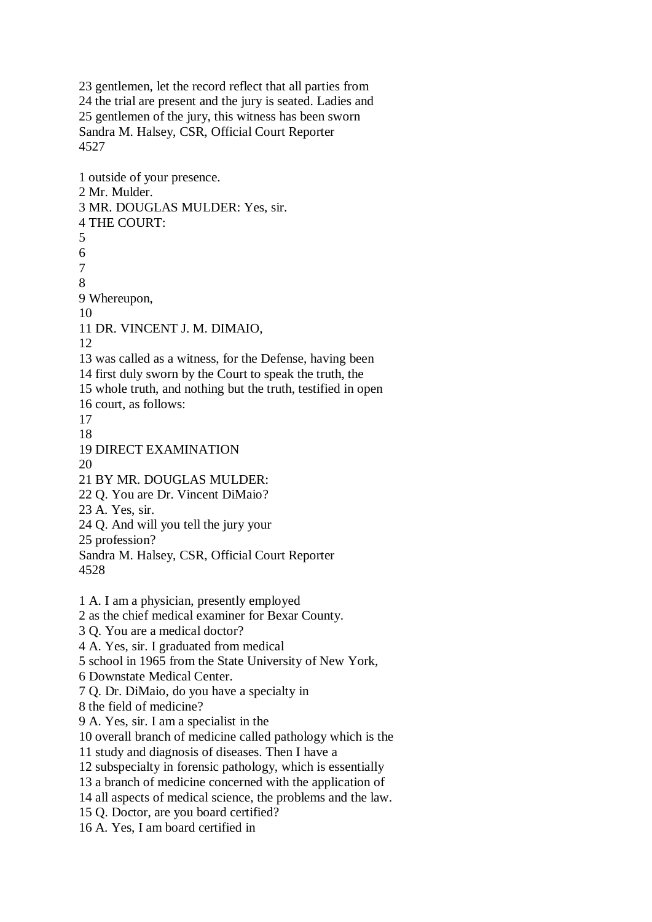23 gentlemen, let the record reflect that all parties from 24 the trial are present and the jury is seated. Ladies and 25 gentlemen of the jury, this witness has been sworn Sandra M. Halsey, CSR, Official Court Reporter 4527

1 outside of your presence. 2 Mr. Mulder. 3 MR. DOUGLAS MULDER: Yes, sir. 4 THE COURT: 5 6 7 8 9 Whereupon, 10 11 DR. VINCENT J. M. DIMAIO, 12 13 was called as a witness, for the Defense, having been 14 first duly sworn by the Court to speak the truth, the 15 whole truth, and nothing but the truth, testified in open 16 court, as follows: 17 18 19 DIRECT EXAMINATION  $20$ 21 BY MR. DOUGLAS MULDER: 22 Q. You are Dr. Vincent DiMaio? 23 A. Yes, sir. 24 Q. And will you tell the jury your 25 profession? Sandra M. Halsey, CSR, Official Court Reporter 4528 1 A. I am a physician, presently employed 2 as the chief medical examiner for Bexar County. 3 Q. You are a medical doctor? 4 A. Yes, sir. I graduated from medical 5 school in 1965 from the State University of New York, 6 Downstate Medical Center. 7 Q. Dr. DiMaio, do you have a specialty in 8 the field of medicine? 9 A. Yes, sir. I am a specialist in the 10 overall branch of medicine called pathology which is the 11 study and diagnosis of diseases. Then I have a 12 subspecialty in forensic pathology, which is essentially 13 a branch of medicine concerned with the application of 14 all aspects of medical science, the problems and the law. 15 Q. Doctor, are you board certified? 16 A. Yes, I am board certified in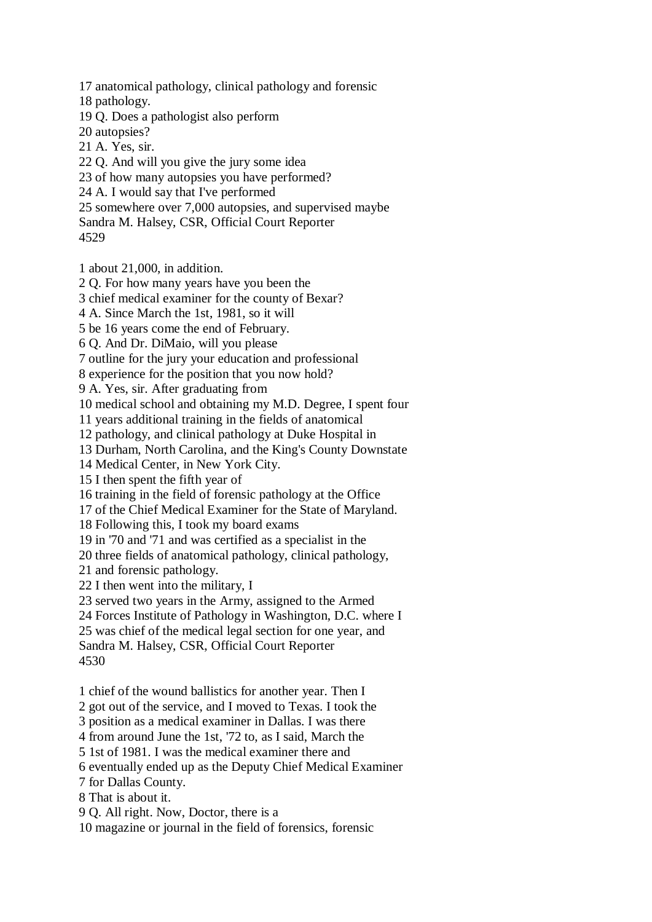17 anatomical pathology, clinical pathology and forensic

18 pathology.

19 Q. Does a pathologist also perform

20 autopsies?

21 A. Yes, sir.

22 Q. And will you give the jury some idea

23 of how many autopsies you have performed?

24 A. I would say that I've performed

25 somewhere over 7,000 autopsies, and supervised maybe

Sandra M. Halsey, CSR, Official Court Reporter

4529

1 about 21,000, in addition.

2 Q. For how many years have you been the

3 chief medical examiner for the county of Bexar?

4 A. Since March the 1st, 1981, so it will

5 be 16 years come the end of February.

6 Q. And Dr. DiMaio, will you please

7 outline for the jury your education and professional

8 experience for the position that you now hold?

9 A. Yes, sir. After graduating from

10 medical school and obtaining my M.D. Degree, I spent four

11 years additional training in the fields of anatomical

12 pathology, and clinical pathology at Duke Hospital in

13 Durham, North Carolina, and the King's County Downstate

14 Medical Center, in New York City.

15 I then spent the fifth year of

16 training in the field of forensic pathology at the Office

17 of the Chief Medical Examiner for the State of Maryland.

18 Following this, I took my board exams

19 in '70 and '71 and was certified as a specialist in the

20 three fields of anatomical pathology, clinical pathology,

21 and forensic pathology.

22 I then went into the military, I

23 served two years in the Army, assigned to the Armed

24 Forces Institute of Pathology in Washington, D.C. where I

25 was chief of the medical legal section for one year, and

Sandra M. Halsey, CSR, Official Court Reporter 4530

1 chief of the wound ballistics for another year. Then I

2 got out of the service, and I moved to Texas. I took the

3 position as a medical examiner in Dallas. I was there

4 from around June the 1st, '72 to, as I said, March the

5 1st of 1981. I was the medical examiner there and

6 eventually ended up as the Deputy Chief Medical Examiner

7 for Dallas County.

8 That is about it.

9 Q. All right. Now, Doctor, there is a

10 magazine or journal in the field of forensics, forensic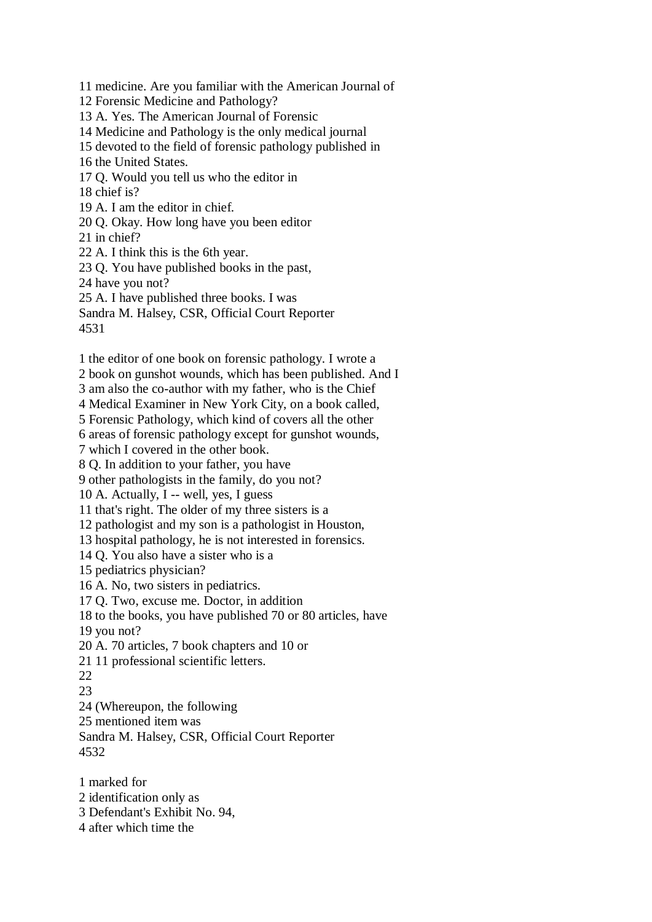11 medicine. Are you familiar with the American Journal of 12 Forensic Medicine and Pathology? 13 A. Yes. The American Journal of Forensic 14 Medicine and Pathology is the only medical journal 15 devoted to the field of forensic pathology published in 16 the United States. 17 Q. Would you tell us who the editor in 18 chief is? 19 A. I am the editor in chief. 20 Q. Okay. How long have you been editor 21 in chief? 22 A. I think this is the 6th year. 23 Q. You have published books in the past, 24 have you not? 25 A. I have published three books. I was Sandra M. Halsey, CSR, Official Court Reporter

4531

1 the editor of one book on forensic pathology. I wrote a

2 book on gunshot wounds, which has been published. And I

3 am also the co-author with my father, who is the Chief

4 Medical Examiner in New York City, on a book called,

5 Forensic Pathology, which kind of covers all the other

6 areas of forensic pathology except for gunshot wounds,

7 which I covered in the other book.

8 Q. In addition to your father, you have

9 other pathologists in the family, do you not?

10 A. Actually, I -- well, yes, I guess

11 that's right. The older of my three sisters is a

12 pathologist and my son is a pathologist in Houston,

13 hospital pathology, he is not interested in forensics.

14 Q. You also have a sister who is a

15 pediatrics physician?

16 A. No, two sisters in pediatrics.

17 Q. Two, excuse me. Doctor, in addition

18 to the books, you have published 70 or 80 articles, have

19 you not?

20 A. 70 articles, 7 book chapters and 10 or

21 11 professional scientific letters.

22

23

24 (Whereupon, the following

25 mentioned item was

Sandra M. Halsey, CSR, Official Court Reporter 4532

1 marked for

- 2 identification only as
- 3 Defendant's Exhibit No. 94,

4 after which time the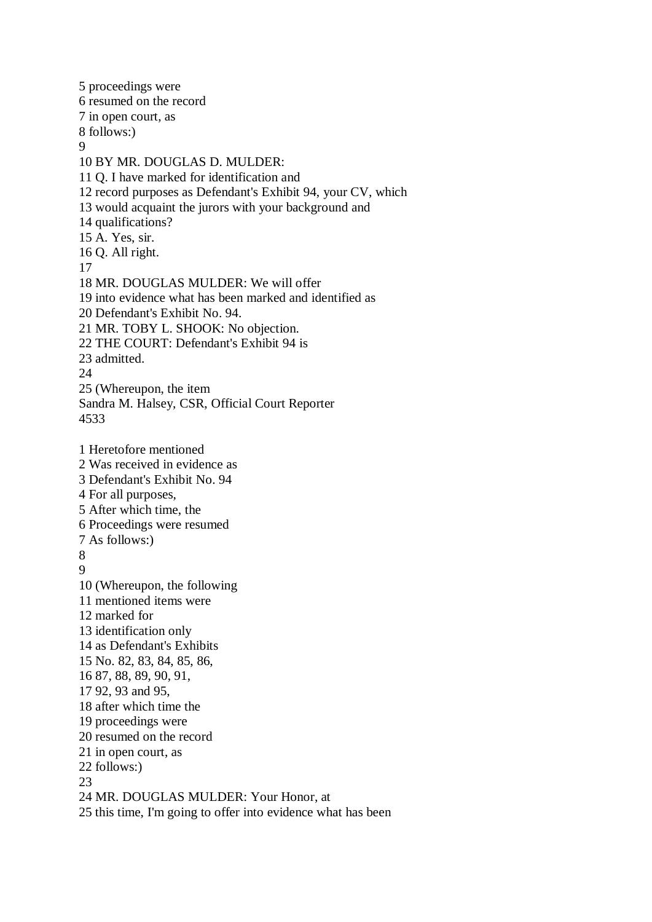5 proceedings were 6 resumed on the record 7 in open court, as 8 follows:) 9 10 BY MR. DOUGLAS D. MULDER: 11 Q. I have marked for identification and 12 record purposes as Defendant's Exhibit 94, your CV, which 13 would acquaint the jurors with your background and 14 qualifications? 15 A. Yes, sir. 16 Q. All right. 17 18 MR. DOUGLAS MULDER: We will offer 19 into evidence what has been marked and identified as 20 Defendant's Exhibit No. 94. 21 MR. TOBY L. SHOOK: No objection. 22 THE COURT: Defendant's Exhibit 94 is 23 admitted. 24 25 (Whereupon, the item Sandra M. Halsey, CSR, Official Court Reporter 4533 1 Heretofore mentioned 2 Was received in evidence as 3 Defendant's Exhibit No. 94 4 For all purposes, 5 After which time, the 6 Proceedings were resumed 7 As follows:) 8 9 10 (Whereupon, the following 11 mentioned items were 12 marked for 13 identification only 14 as Defendant's Exhibits 15 No. 82, 83, 84, 85, 86, 16 87, 88, 89, 90, 91, 17 92, 93 and 95, 18 after which time the 19 proceedings were 20 resumed on the record 21 in open court, as 22 follows:) 23 24 MR. DOUGLAS MULDER: Your Honor, at 25 this time, I'm going to offer into evidence what has been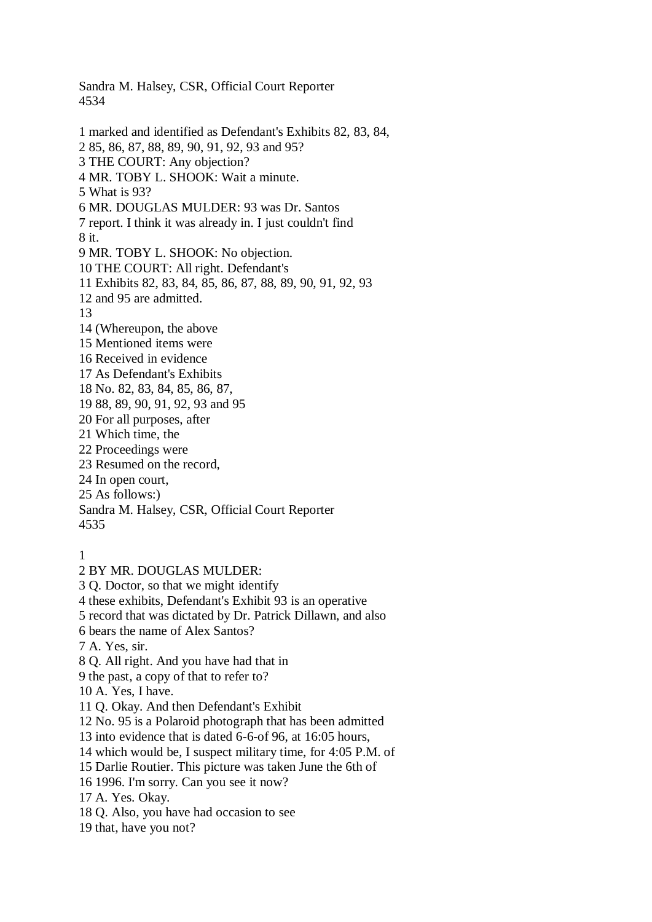4534 1 marked and identified as Defendant's Exhibits 82, 83, 84, 2 85, 86, 87, 88, 89, 90, 91, 92, 93 and 95? 3 THE COURT: Any objection? 4 MR. TOBY L. SHOOK: Wait a minute. 5 What is 93? 6 MR. DOUGLAS MULDER: 93 was Dr. Santos 7 report. I think it was already in. I just couldn't find 8 it. 9 MR. TOBY L. SHOOK: No objection. 10 THE COURT: All right. Defendant's 11 Exhibits 82, 83, 84, 85, 86, 87, 88, 89, 90, 91, 92, 93 12 and 95 are admitted. 13 14 (Whereupon, the above 15 Mentioned items were 16 Received in evidence 17 As Defendant's Exhibits 18 No. 82, 83, 84, 85, 86, 87, 19 88, 89, 90, 91, 92, 93 and 95 20 For all purposes, after 21 Which time, the 22 Proceedings were 23 Resumed on the record, 24 In open court, 25 As follows:) Sandra M. Halsey, CSR, Official Court Reporter 4535 1 2 BY MR. DOUGLAS MULDER: 3 Q. Doctor, so that we might identify

Sandra M. Halsey, CSR, Official Court Reporter

4 these exhibits, Defendant's Exhibit 93 is an operative

5 record that was dictated by Dr. Patrick Dillawn, and also

6 bears the name of Alex Santos?

7 A. Yes, sir.

8 Q. All right. And you have had that in

9 the past, a copy of that to refer to?

10 A. Yes, I have.

11 Q. Okay. And then Defendant's Exhibit

12 No. 95 is a Polaroid photograph that has been admitted

13 into evidence that is dated 6-6-of 96, at 16:05 hours,

14 which would be, I suspect military time, for 4:05 P.M. of

15 Darlie Routier. This picture was taken June the 6th of

16 1996. I'm sorry. Can you see it now?

17 A. Yes. Okay.

18 Q. Also, you have had occasion to see

19 that, have you not?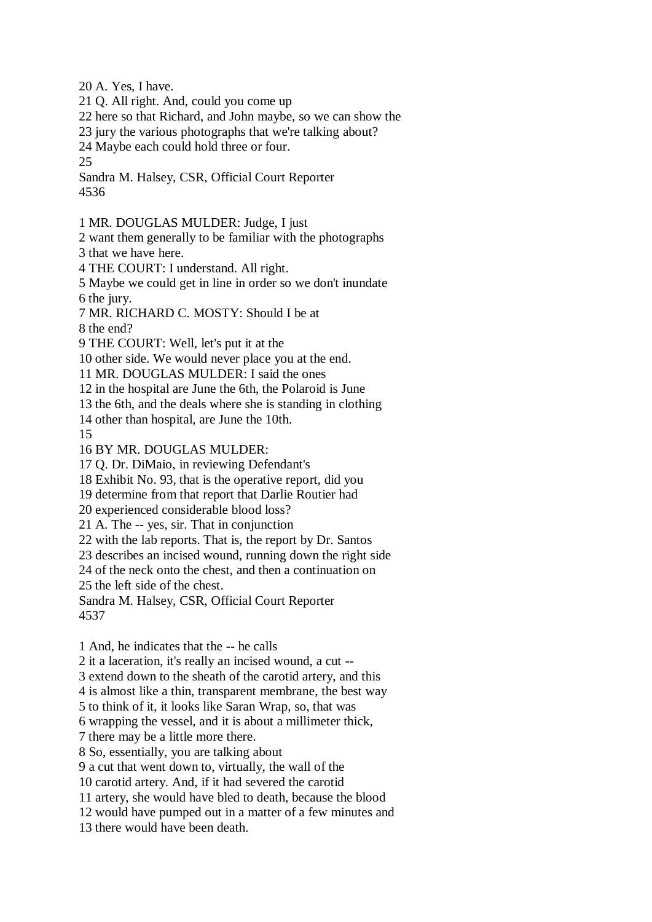20 A. Yes, I have.

21 Q. All right. And, could you come up

22 here so that Richard, and John maybe, so we can show the

23 jury the various photographs that we're talking about?

24 Maybe each could hold three or four.

25

Sandra M. Halsey, CSR, Official Court Reporter 4536

1 MR. DOUGLAS MULDER: Judge, I just

2 want them generally to be familiar with the photographs 3 that we have here.

4 THE COURT: I understand. All right.

5 Maybe we could get in line in order so we don't inundate 6 the jury.

7 MR. RICHARD C. MOSTY: Should I be at

8 the end?

9 THE COURT: Well, let's put it at the

10 other side. We would never place you at the end.

11 MR. DOUGLAS MULDER: I said the ones

12 in the hospital are June the 6th, the Polaroid is June

13 the 6th, and the deals where she is standing in clothing

14 other than hospital, are June the 10th.

15

16 BY MR. DOUGLAS MULDER:

17 Q. Dr. DiMaio, in reviewing Defendant's

18 Exhibit No. 93, that is the operative report, did you

19 determine from that report that Darlie Routier had

20 experienced considerable blood loss?

21 A. The -- yes, sir. That in conjunction

22 with the lab reports. That is, the report by Dr. Santos

23 describes an incised wound, running down the right side

24 of the neck onto the chest, and then a continuation on

25 the left side of the chest.

Sandra M. Halsey, CSR, Official Court Reporter 4537

1 And, he indicates that the -- he calls

2 it a laceration, it's really an incised wound, a cut --

3 extend down to the sheath of the carotid artery, and this

4 is almost like a thin, transparent membrane, the best way

5 to think of it, it looks like Saran Wrap, so, that was

6 wrapping the vessel, and it is about a millimeter thick,

7 there may be a little more there.

8 So, essentially, you are talking about

9 a cut that went down to, virtually, the wall of the

10 carotid artery. And, if it had severed the carotid

11 artery, she would have bled to death, because the blood

12 would have pumped out in a matter of a few minutes and

13 there would have been death.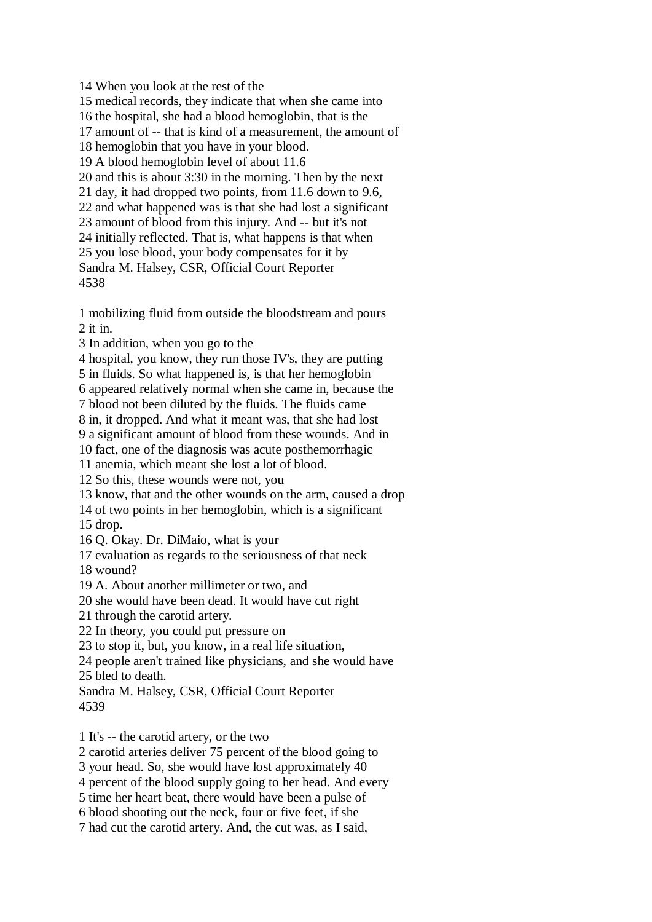14 When you look at the rest of the 15 medical records, they indicate that when she came into 16 the hospital, she had a blood hemoglobin, that is the 17 amount of -- that is kind of a measurement, the amount of 18 hemoglobin that you have in your blood. 19 A blood hemoglobin level of about 11.6 20 and this is about 3:30 in the morning. Then by the next 21 day, it had dropped two points, from 11.6 down to 9.6, 22 and what happened was is that she had lost a significant 23 amount of blood from this injury. And -- but it's not 24 initially reflected. That is, what happens is that when 25 you lose blood, your body compensates for it by Sandra M. Halsey, CSR, Official Court Reporter 4538

1 mobilizing fluid from outside the bloodstream and pours 2 it in.

3 In addition, when you go to the

4 hospital, you know, they run those IV's, they are putting

5 in fluids. So what happened is, is that her hemoglobin 6 appeared relatively normal when she came in, because the

7 blood not been diluted by the fluids. The fluids came

8 in, it dropped. And what it meant was, that she had lost

9 a significant amount of blood from these wounds. And in

10 fact, one of the diagnosis was acute posthemorrhagic

11 anemia, which meant she lost a lot of blood.

12 So this, these wounds were not, you

13 know, that and the other wounds on the arm, caused a drop

14 of two points in her hemoglobin, which is a significant

15 drop.

16 Q. Okay. Dr. DiMaio, what is your

17 evaluation as regards to the seriousness of that neck

18 wound?

19 A. About another millimeter or two, and

20 she would have been dead. It would have cut right

21 through the carotid artery.

22 In theory, you could put pressure on

23 to stop it, but, you know, in a real life situation,

24 people aren't trained like physicians, and she would have 25 bled to death.

Sandra M. Halsey, CSR, Official Court Reporter 4539

1 It's -- the carotid artery, or the two

2 carotid arteries deliver 75 percent of the blood going to

3 your head. So, she would have lost approximately 40

4 percent of the blood supply going to her head. And every

5 time her heart beat, there would have been a pulse of

6 blood shooting out the neck, four or five feet, if she

7 had cut the carotid artery. And, the cut was, as I said,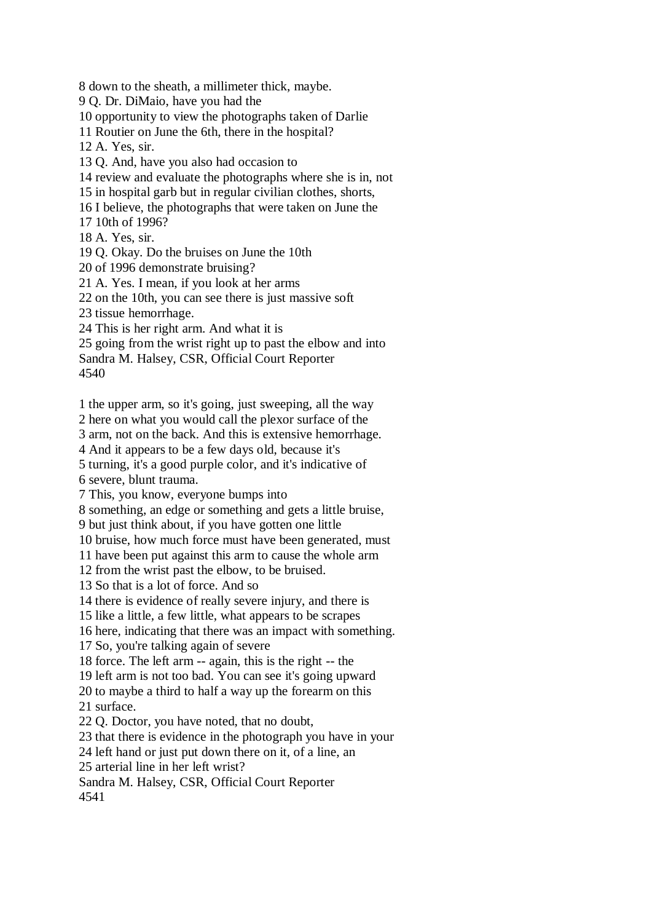8 down to the sheath, a millimeter thick, maybe.

9 Q. Dr. DiMaio, have you had the

10 opportunity to view the photographs taken of Darlie

11 Routier on June the 6th, there in the hospital?

12 A. Yes, sir.

13 Q. And, have you also had occasion to

14 review and evaluate the photographs where she is in, not

15 in hospital garb but in regular civilian clothes, shorts,

16 I believe, the photographs that were taken on June the

17 10th of 1996?

18 A. Yes, sir.

19 Q. Okay. Do the bruises on June the 10th

20 of 1996 demonstrate bruising?

21 A. Yes. I mean, if you look at her arms

22 on the 10th, you can see there is just massive soft

23 tissue hemorrhage.

24 This is her right arm. And what it is

25 going from the wrist right up to past the elbow and into

Sandra M. Halsey, CSR, Official Court Reporter

4540

1 the upper arm, so it's going, just sweeping, all the way

2 here on what you would call the plexor surface of the

3 arm, not on the back. And this is extensive hemorrhage.

4 And it appears to be a few days old, because it's

5 turning, it's a good purple color, and it's indicative of 6 severe, blunt trauma.

7 This, you know, everyone bumps into

8 something, an edge or something and gets a little bruise,

9 but just think about, if you have gotten one little

10 bruise, how much force must have been generated, must

11 have been put against this arm to cause the whole arm

12 from the wrist past the elbow, to be bruised.

13 So that is a lot of force. And so

14 there is evidence of really severe injury, and there is

15 like a little, a few little, what appears to be scrapes

16 here, indicating that there was an impact with something.

17 So, you're talking again of severe

18 force. The left arm -- again, this is the right -- the

19 left arm is not too bad. You can see it's going upward

20 to maybe a third to half a way up the forearm on this 21 surface.

22 Q. Doctor, you have noted, that no doubt,

23 that there is evidence in the photograph you have in your

24 left hand or just put down there on it, of a line, an

25 arterial line in her left wrist?

Sandra M. Halsey, CSR, Official Court Reporter 4541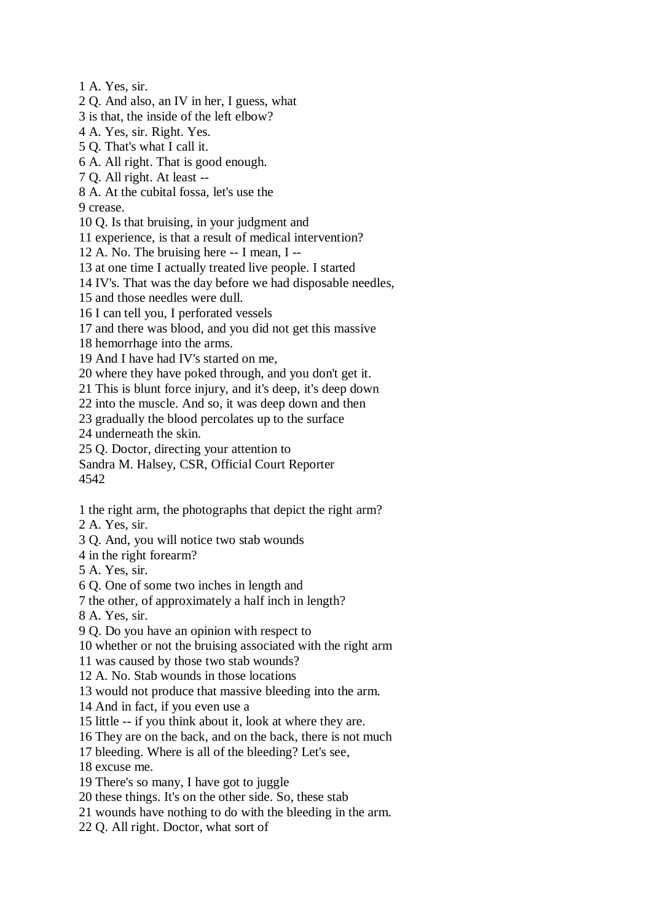1 A. Yes, sir.

2 Q. And also, an IV in her, I guess, what

3 is that, the inside of the left elbow?

4 A. Yes, sir. Right. Yes.

5 Q. That's what I call it.

6 A. All right. That is good enough.

7 Q. All right. At least --

8 A. At the cubital fossa, let's use the

9 crease.

10 Q. Is that bruising, in your judgment and

11 experience, is that a result of medical intervention?

12 A. No. The bruising here -- I mean, I --

13 at one time I actually treated live people. I started

14 IV's. That was the day before we had disposable needles,

15 and those needles were dull.

16 I can tell you, I perforated vessels

17 and there was blood, and you did not get this massive

18 hemorrhage into the arms.

19 And I have had IV's started on me,

20 where they have poked through, and you don't get it.

21 This is blunt force injury, and it's deep, it's deep down

22 into the muscle. And so, it was deep down and then

23 gradually the blood percolates up to the surface

24 underneath the skin.

25 Q. Doctor, directing your attention to

Sandra M. Halsey, CSR, Official Court Reporter 4542

1 the right arm, the photographs that depict the right arm?

2 A. Yes, sir.

3 Q. And, you will notice two stab wounds

4 in the right forearm?

5 A. Yes, sir.

6 Q. One of some two inches in length and

7 the other, of approximately a half inch in length?

8 A. Yes, sir.

9 Q. Do you have an opinion with respect to

10 whether or not the bruising associated with the right arm

11 was caused by those two stab wounds?

12 A. No. Stab wounds in those locations

13 would not produce that massive bleeding into the arm.

14 And in fact, if you even use a

15 little -- if you think about it, look at where they are.

16 They are on the back, and on the back, there is not much

17 bleeding. Where is all of the bleeding? Let's see,

18 excuse me.

19 There's so many, I have got to juggle

20 these things. It's on the other side. So, these stab

21 wounds have nothing to do with the bleeding in the arm.

22 Q. All right. Doctor, what sort of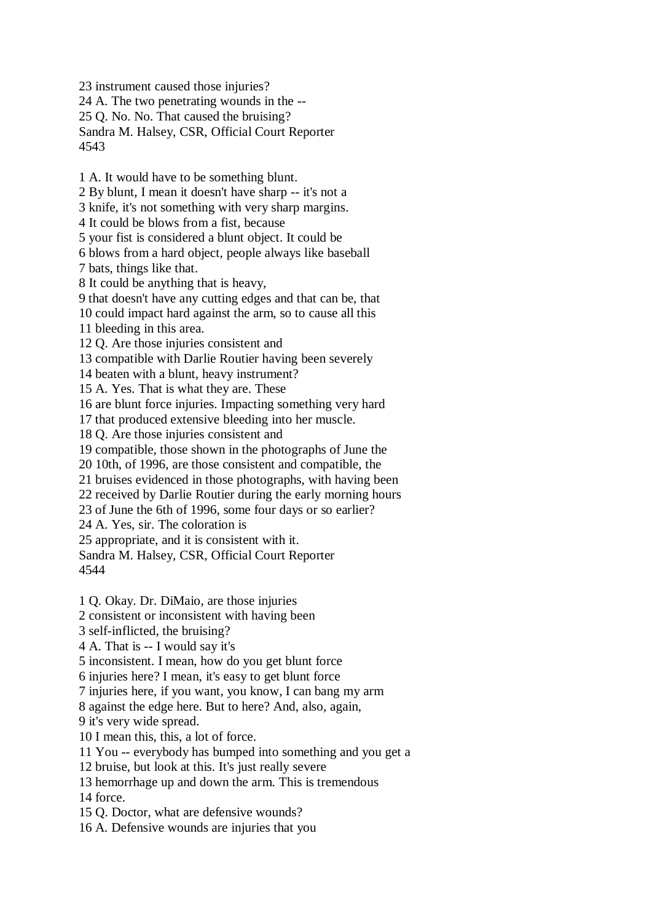23 instrument caused those injuries? 24 A. The two penetrating wounds in the -- 25 Q. No. No. That caused the bruising? Sandra M. Halsey, CSR, Official Court Reporter 4543

1 A. It would have to be something blunt.

2 By blunt, I mean it doesn't have sharp -- it's not a

3 knife, it's not something with very sharp margins.

4 It could be blows from a fist, because

5 your fist is considered a blunt object. It could be

6 blows from a hard object, people always like baseball 7 bats, things like that.

8 It could be anything that is heavy,

9 that doesn't have any cutting edges and that can be, that

10 could impact hard against the arm, so to cause all this

11 bleeding in this area.

12 Q. Are those injuries consistent and

13 compatible with Darlie Routier having been severely

14 beaten with a blunt, heavy instrument?

15 A. Yes. That is what they are. These

16 are blunt force injuries. Impacting something very hard

17 that produced extensive bleeding into her muscle.

18 Q. Are those injuries consistent and

19 compatible, those shown in the photographs of June the

20 10th, of 1996, are those consistent and compatible, the

21 bruises evidenced in those photographs, with having been

22 received by Darlie Routier during the early morning hours

23 of June the 6th of 1996, some four days or so earlier?

24 A. Yes, sir. The coloration is

25 appropriate, and it is consistent with it.

Sandra M. Halsey, CSR, Official Court Reporter 4544

1 Q. Okay. Dr. DiMaio, are those injuries

2 consistent or inconsistent with having been

3 self-inflicted, the bruising?

4 A. That is -- I would say it's

5 inconsistent. I mean, how do you get blunt force

6 injuries here? I mean, it's easy to get blunt force

7 injuries here, if you want, you know, I can bang my arm

8 against the edge here. But to here? And, also, again,

9 it's very wide spread.

10 I mean this, this, a lot of force.

11 You -- everybody has bumped into something and you get a

12 bruise, but look at this. It's just really severe

13 hemorrhage up and down the arm. This is tremendous

14 force.

15 Q. Doctor, what are defensive wounds?

16 A. Defensive wounds are injuries that you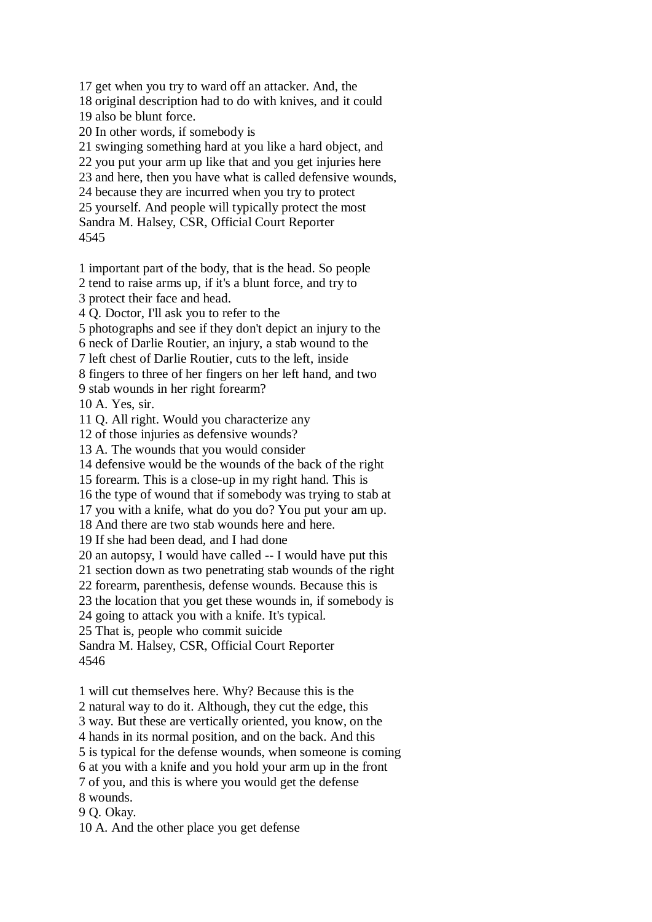17 get when you try to ward off an attacker. And, the 18 original description had to do with knives, and it could 19 also be blunt force. 20 In other words, if somebody is 21 swinging something hard at you like a hard object, and 22 you put your arm up like that and you get injuries here 23 and here, then you have what is called defensive wounds, 24 because they are incurred when you try to protect 25 yourself. And people will typically protect the most Sandra M. Halsey, CSR, Official Court Reporter

4545

1 important part of the body, that is the head. So people

2 tend to raise arms up, if it's a blunt force, and try to

3 protect their face and head.

4 Q. Doctor, I'll ask you to refer to the

5 photographs and see if they don't depict an injury to the

6 neck of Darlie Routier, an injury, a stab wound to the

7 left chest of Darlie Routier, cuts to the left, inside

8 fingers to three of her fingers on her left hand, and two

9 stab wounds in her right forearm?

10 A. Yes, sir.

11 Q. All right. Would you characterize any

12 of those injuries as defensive wounds?

13 A. The wounds that you would consider

14 defensive would be the wounds of the back of the right

15 forearm. This is a close-up in my right hand. This is

16 the type of wound that if somebody was trying to stab at

17 you with a knife, what do you do? You put your am up.

18 And there are two stab wounds here and here.

19 If she had been dead, and I had done

20 an autopsy, I would have called -- I would have put this

21 section down as two penetrating stab wounds of the right

22 forearm, parenthesis, defense wounds. Because this is

23 the location that you get these wounds in, if somebody is

24 going to attack you with a knife. It's typical.

25 That is, people who commit suicide

Sandra M. Halsey, CSR, Official Court Reporter 4546

1 will cut themselves here. Why? Because this is the

2 natural way to do it. Although, they cut the edge, this

3 way. But these are vertically oriented, you know, on the

4 hands in its normal position, and on the back. And this

5 is typical for the defense wounds, when someone is coming

6 at you with a knife and you hold your arm up in the front

7 of you, and this is where you would get the defense

8 wounds.

9 Q. Okay.

10 A. And the other place you get defense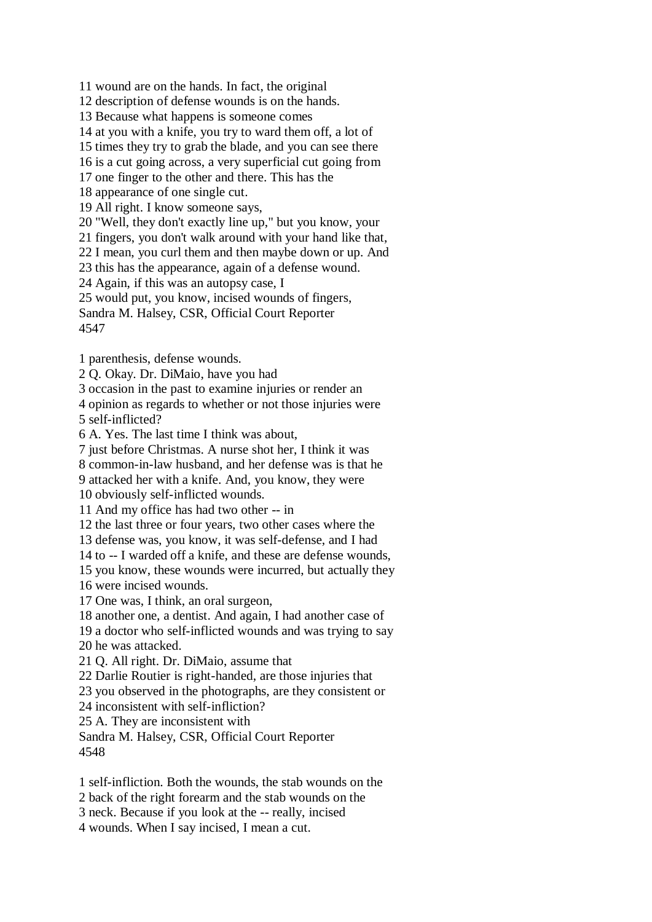11 wound are on the hands. In fact, the original

12 description of defense wounds is on the hands.

13 Because what happens is someone comes

14 at you with a knife, you try to ward them off, a lot of

15 times they try to grab the blade, and you can see there

16 is a cut going across, a very superficial cut going from

17 one finger to the other and there. This has the

18 appearance of one single cut.

19 All right. I know someone says,

20 "Well, they don't exactly line up," but you know, your

21 fingers, you don't walk around with your hand like that,

22 I mean, you curl them and then maybe down or up. And

23 this has the appearance, again of a defense wound.

24 Again, if this was an autopsy case, I

25 would put, you know, incised wounds of fingers,

Sandra M. Halsey, CSR, Official Court Reporter

4547

1 parenthesis, defense wounds.

2 Q. Okay. Dr. DiMaio, have you had

3 occasion in the past to examine injuries or render an

4 opinion as regards to whether or not those injuries were 5 self-inflicted?

6 A. Yes. The last time I think was about,

7 just before Christmas. A nurse shot her, I think it was

8 common-in-law husband, and her defense was is that he

9 attacked her with a knife. And, you know, they were

10 obviously self-inflicted wounds.

11 And my office has had two other -- in

12 the last three or four years, two other cases where the

13 defense was, you know, it was self-defense, and I had

14 to -- I warded off a knife, and these are defense wounds,

15 you know, these wounds were incurred, but actually they 16 were incised wounds.

17 One was, I think, an oral surgeon,

18 another one, a dentist. And again, I had another case of

19 a doctor who self-inflicted wounds and was trying to say 20 he was attacked.

21 Q. All right. Dr. DiMaio, assume that

22 Darlie Routier is right-handed, are those injuries that

23 you observed in the photographs, are they consistent or

24 inconsistent with self-infliction?

25 A. They are inconsistent with

Sandra M. Halsey, CSR, Official Court Reporter 4548

1 self-infliction. Both the wounds, the stab wounds on the

2 back of the right forearm and the stab wounds on the

3 neck. Because if you look at the -- really, incised

4 wounds. When I say incised, I mean a cut.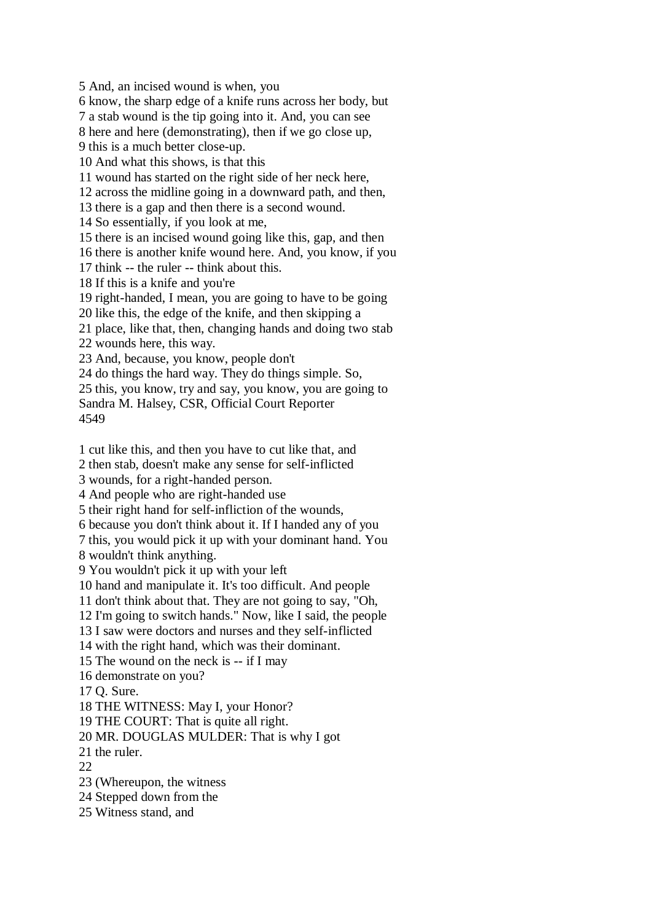5 And, an incised wound is when, you 6 know, the sharp edge of a knife runs across her body, but 7 a stab wound is the tip going into it. And, you can see 8 here and here (demonstrating), then if we go close up, 9 this is a much better close-up. 10 And what this shows, is that this 11 wound has started on the right side of her neck here, 12 across the midline going in a downward path, and then, 13 there is a gap and then there is a second wound. 14 So essentially, if you look at me, 15 there is an incised wound going like this, gap, and then 16 there is another knife wound here. And, you know, if you 17 think -- the ruler -- think about this. 18 If this is a knife and you're 19 right-handed, I mean, you are going to have to be going 20 like this, the edge of the knife, and then skipping a 21 place, like that, then, changing hands and doing two stab 22 wounds here, this way. 23 And, because, you know, people don't 24 do things the hard way. They do things simple. So, 25 this, you know, try and say, you know, you are going to Sandra M. Halsey, CSR, Official Court Reporter 4549 1 cut like this, and then you have to cut like that, and 2 then stab, doesn't make any sense for self-inflicted 3 wounds, for a right-handed person. 4 And people who are right-handed use 5 their right hand for self-infliction of the wounds, 6 because you don't think about it. If I handed any of you 7 this, you would pick it up with your dominant hand. You 8 wouldn't think anything. 9 You wouldn't pick it up with your left 10 hand and manipulate it. It's too difficult. And people 11 don't think about that. They are not going to say, "Oh, 12 I'm going to switch hands." Now, like I said, the people 13 I saw were doctors and nurses and they self-inflicted 14 with the right hand, which was their dominant. 15 The wound on the neck is -- if I may 16 demonstrate on you? 17 Q. Sure. 18 THE WITNESS: May I, your Honor? 19 THE COURT: That is quite all right. 20 MR. DOUGLAS MULDER: That is why I got 21 the ruler. 22 23 (Whereupon, the witness 24 Stepped down from the

25 Witness stand, and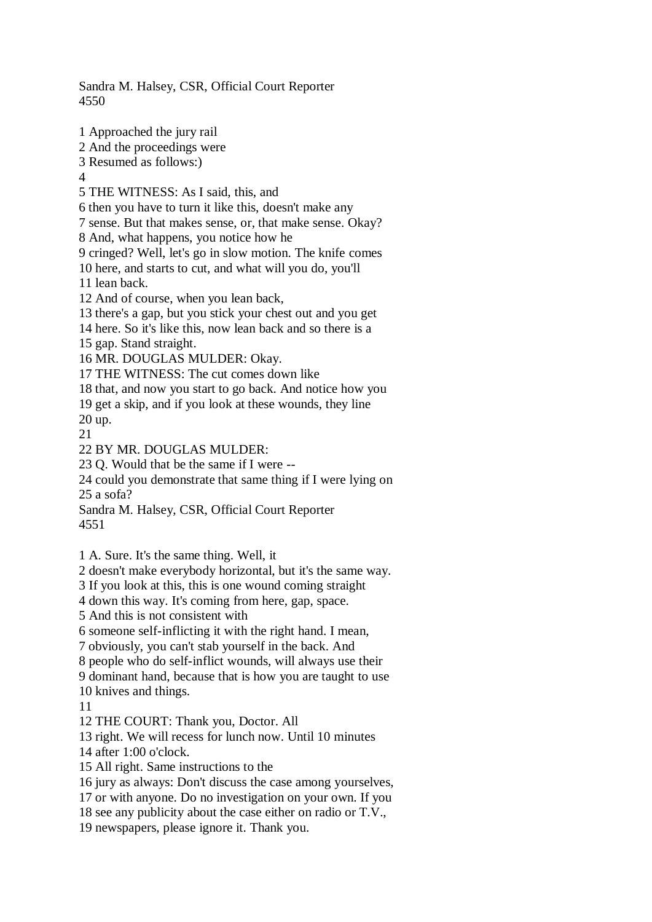4550 1 Approached the jury rail 2 And the proceedings were 3 Resumed as follows:)  $\Lambda$ 5 THE WITNESS: As I said, this, and 6 then you have to turn it like this, doesn't make any 7 sense. But that makes sense, or, that make sense. Okay? 8 And, what happens, you notice how he 9 cringed? Well, let's go in slow motion. The knife comes 10 here, and starts to cut, and what will you do, you'll 11 lean back. 12 And of course, when you lean back, 13 there's a gap, but you stick your chest out and you get 14 here. So it's like this, now lean back and so there is a 15 gap. Stand straight. 16 MR. DOUGLAS MULDER: Okay. 17 THE WITNESS: The cut comes down like 18 that, and now you start to go back. And notice how you 19 get a skip, and if you look at these wounds, they line 20 up. 21 22 BY MR. DOUGLAS MULDER: 23 Q. Would that be the same if I were -- 24 could you demonstrate that same thing if I were lying on 25 a sofa? Sandra M. Halsey, CSR, Official Court Reporter 4551 1 A. Sure. It's the same thing. Well, it 2 doesn't make everybody horizontal, but it's the same way. 3 If you look at this, this is one wound coming straight 4 down this way. It's coming from here, gap, space. 5 And this is not consistent with 6 someone self-inflicting it with the right hand. I mean, 7 obviously, you can't stab yourself in the back. And 8 people who do self-inflict wounds, will always use their 9 dominant hand, because that is how you are taught to use 10 knives and things. 11 12 THE COURT: Thank you, Doctor. All 13 right. We will recess for lunch now. Until 10 minutes 14 after 1:00 o'clock. 15 All right. Same instructions to the 16 jury as always: Don't discuss the case among yourselves, 17 or with anyone. Do no investigation on your own. If you 18 see any publicity about the case either on radio or T.V., 19 newspapers, please ignore it. Thank you.

Sandra M. Halsey, CSR, Official Court Reporter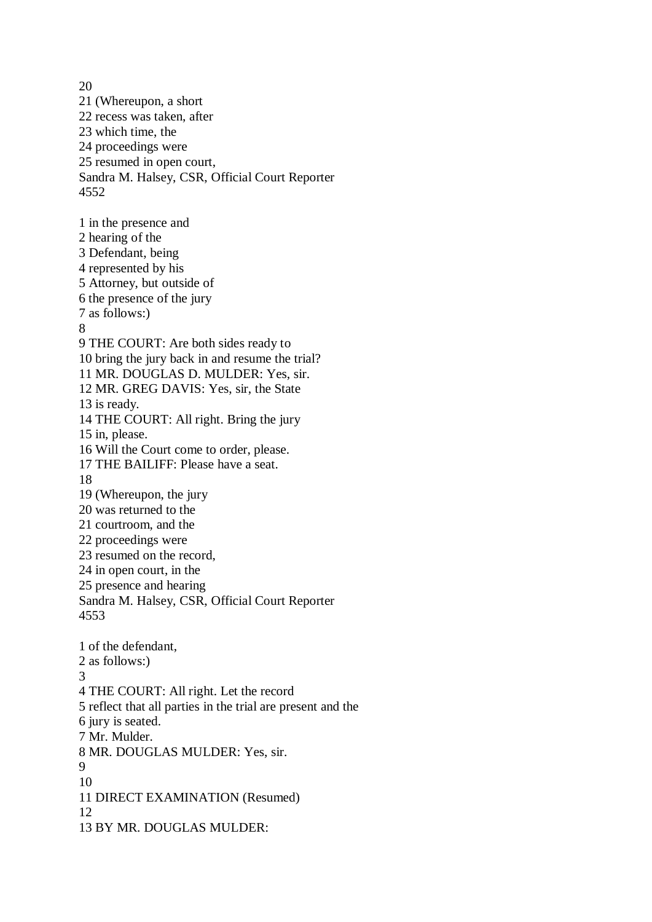20 21 (Whereupon, a short 22 recess was taken, after 23 which time, the 24 proceedings were 25 resumed in open court, Sandra M. Halsey, CSR, Official Court Reporter 4552 1 in the presence and 2 hearing of the 3 Defendant, being 4 represented by his 5 Attorney, but outside of 6 the presence of the jury 7 as follows:) 8 9 THE COURT: Are both sides ready to 10 bring the jury back in and resume the trial? 11 MR. DOUGLAS D. MULDER: Yes, sir. 12 MR. GREG DAVIS: Yes, sir, the State 13 is ready. 14 THE COURT: All right. Bring the jury 15 in, please. 16 Will the Court come to order, please. 17 THE BAILIFF: Please have a seat. 18 19 (Whereupon, the jury 20 was returned to the 21 courtroom, and the 22 proceedings were 23 resumed on the record, 24 in open court, in the 25 presence and hearing Sandra M. Halsey, CSR, Official Court Reporter 4553 1 of the defendant, 2 as follows:) 3 4 THE COURT: All right. Let the record 5 reflect that all parties in the trial are present and the 6 jury is seated. 7 Mr. Mulder. 8 MR. DOUGLAS MULDER: Yes, sir. 9 10 11 DIRECT EXAMINATION (Resumed) 12 13 BY MR. DOUGLAS MULDER: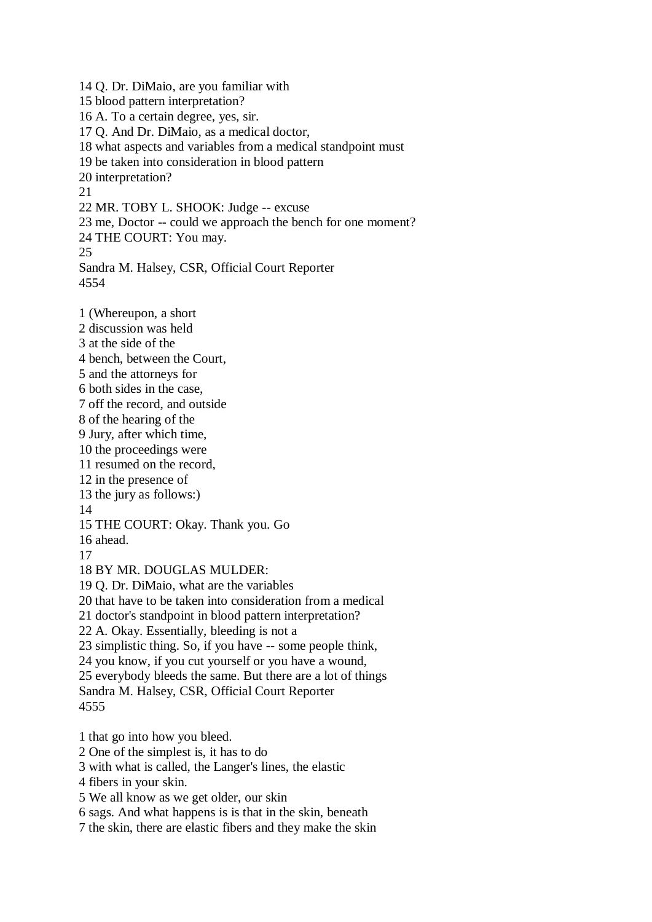14 Q. Dr. DiMaio, are you familiar with 15 blood pattern interpretation? 16 A. To a certain degree, yes, sir. 17 Q. And Dr. DiMaio, as a medical doctor, 18 what aspects and variables from a medical standpoint must 19 be taken into consideration in blood pattern 20 interpretation? 21 22 MR. TOBY L. SHOOK: Judge -- excuse 23 me, Doctor -- could we approach the bench for one moment? 24 THE COURT: You may. 25 Sandra M. Halsey, CSR, Official Court Reporter 4554 1 (Whereupon, a short 2 discussion was held 3 at the side of the 4 bench, between the Court, 5 and the attorneys for 6 both sides in the case, 7 off the record, and outside 8 of the hearing of the 9 Jury, after which time, 10 the proceedings were 11 resumed on the record, 12 in the presence of 13 the jury as follows:) 14 15 THE COURT: Okay. Thank you. Go 16 ahead. 17 18 BY MR. DOUGLAS MULDER: 19 Q. Dr. DiMaio, what are the variables 20 that have to be taken into consideration from a medical 21 doctor's standpoint in blood pattern interpretation? 22 A. Okay. Essentially, bleeding is not a 23 simplistic thing. So, if you have -- some people think, 24 you know, if you cut yourself or you have a wound, 25 everybody bleeds the same. But there are a lot of things Sandra M. Halsey, CSR, Official Court Reporter 4555 1 that go into how you bleed. 2 One of the simplest is, it has to do 3 with what is called, the Langer's lines, the elastic 4 fibers in your skin.

5 We all know as we get older, our skin

6 sags. And what happens is is that in the skin, beneath

7 the skin, there are elastic fibers and they make the skin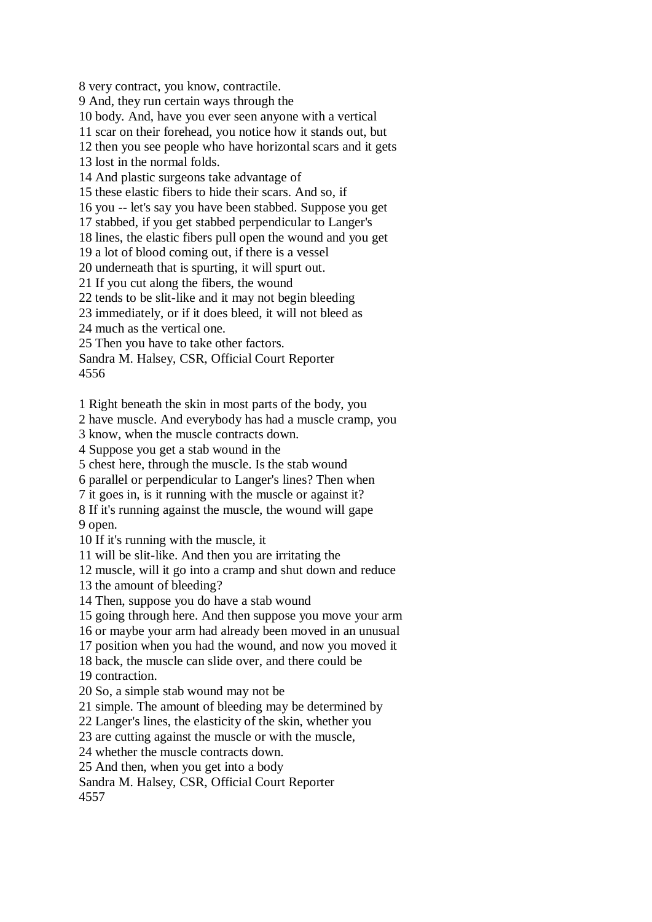8 very contract, you know, contractile. 9 And, they run certain ways through the 10 body. And, have you ever seen anyone with a vertical 11 scar on their forehead, you notice how it stands out, but 12 then you see people who have horizontal scars and it gets 13 lost in the normal folds. 14 And plastic surgeons take advantage of 15 these elastic fibers to hide their scars. And so, if 16 you -- let's say you have been stabbed. Suppose you get 17 stabbed, if you get stabbed perpendicular to Langer's 18 lines, the elastic fibers pull open the wound and you get 19 a lot of blood coming out, if there is a vessel 20 underneath that is spurting, it will spurt out. 21 If you cut along the fibers, the wound 22 tends to be slit-like and it may not begin bleeding 23 immediately, or if it does bleed, it will not bleed as 24 much as the vertical one. 25 Then you have to take other factors. Sandra M. Halsey, CSR, Official Court Reporter 4556 1 Right beneath the skin in most parts of the body, you 2 have muscle. And everybody has had a muscle cramp, you 3 know, when the muscle contracts down. 4 Suppose you get a stab wound in the 5 chest here, through the muscle. Is the stab wound 6 parallel or perpendicular to Langer's lines? Then when 7 it goes in, is it running with the muscle or against it?

8 If it's running against the muscle, the wound will gape 9 open.

10 If it's running with the muscle, it

11 will be slit-like. And then you are irritating the

12 muscle, will it go into a cramp and shut down and reduce

13 the amount of bleeding?

14 Then, suppose you do have a stab wound

15 going through here. And then suppose you move your arm

16 or maybe your arm had already been moved in an unusual

17 position when you had the wound, and now you moved it

18 back, the muscle can slide over, and there could be

19 contraction.

20 So, a simple stab wound may not be

21 simple. The amount of bleeding may be determined by

22 Langer's lines, the elasticity of the skin, whether you

23 are cutting against the muscle or with the muscle,

24 whether the muscle contracts down.

25 And then, when you get into a body

Sandra M. Halsey, CSR, Official Court Reporter

4557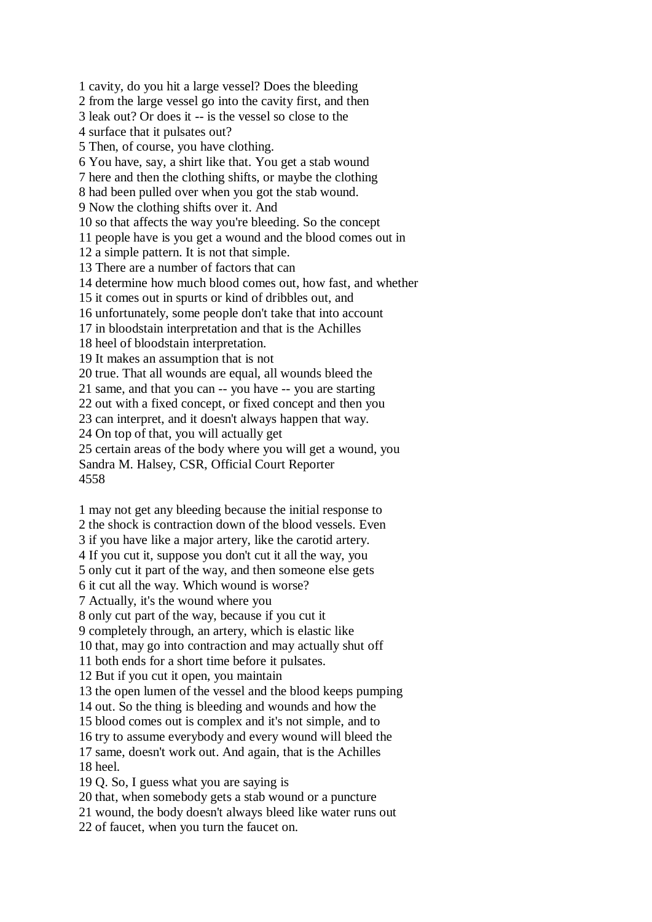1 cavity, do you hit a large vessel? Does the bleeding 2 from the large vessel go into the cavity first, and then 3 leak out? Or does it -- is the vessel so close to the 4 surface that it pulsates out? 5 Then, of course, you have clothing. 6 You have, say, a shirt like that. You get a stab wound 7 here and then the clothing shifts, or maybe the clothing 8 had been pulled over when you got the stab wound. 9 Now the clothing shifts over it. And 10 so that affects the way you're bleeding. So the concept 11 people have is you get a wound and the blood comes out in 12 a simple pattern. It is not that simple. 13 There are a number of factors that can 14 determine how much blood comes out, how fast, and whether 15 it comes out in spurts or kind of dribbles out, and 16 unfortunately, some people don't take that into account 17 in bloodstain interpretation and that is the Achilles 18 heel of bloodstain interpretation. 19 It makes an assumption that is not 20 true. That all wounds are equal, all wounds bleed the 21 same, and that you can -- you have -- you are starting 22 out with a fixed concept, or fixed concept and then you 23 can interpret, and it doesn't always happen that way. 24 On top of that, you will actually get 25 certain areas of the body where you will get a wound, you Sandra M. Halsey, CSR, Official Court Reporter 4558

1 may not get any bleeding because the initial response to 2 the shock is contraction down of the blood vessels. Even 3 if you have like a major artery, like the carotid artery. 4 If you cut it, suppose you don't cut it all the way, you 5 only cut it part of the way, and then someone else gets 6 it cut all the way. Which wound is worse? 7 Actually, it's the wound where you 8 only cut part of the way, because if you cut it 9 completely through, an artery, which is elastic like 10 that, may go into contraction and may actually shut off 11 both ends for a short time before it pulsates. 12 But if you cut it open, you maintain 13 the open lumen of the vessel and the blood keeps pumping 14 out. So the thing is bleeding and wounds and how the 15 blood comes out is complex and it's not simple, and to 16 try to assume everybody and every wound will bleed the 17 same, doesn't work out. And again, that is the Achilles 18 heel. 19 Q. So, I guess what you are saying is 20 that, when somebody gets a stab wound or a puncture 21 wound, the body doesn't always bleed like water runs out

22 of faucet, when you turn the faucet on.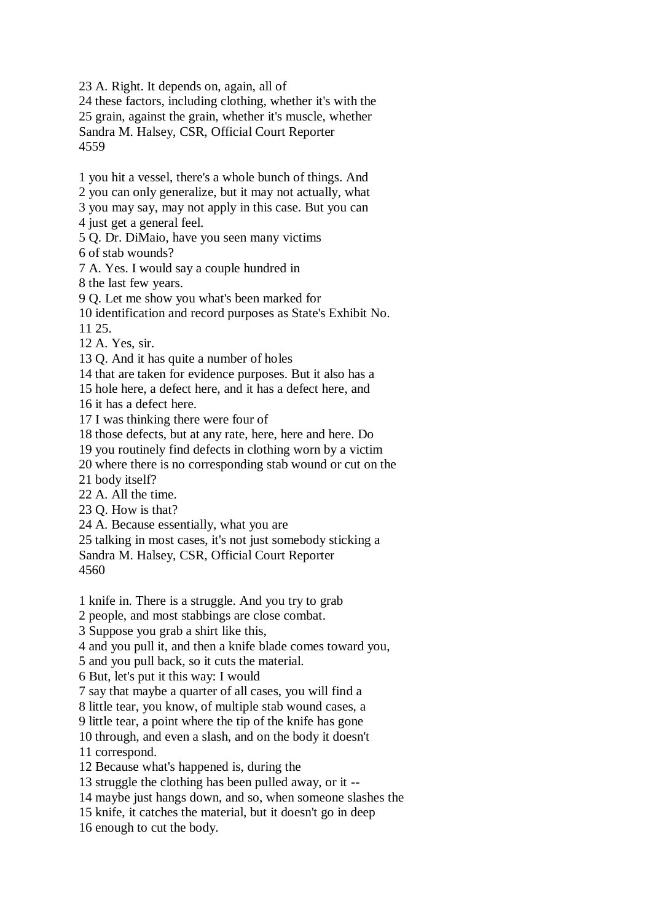23 A. Right. It depends on, again, all of

24 these factors, including clothing, whether it's with the 25 grain, against the grain, whether it's muscle, whether Sandra M. Halsey, CSR, Official Court Reporter 4559

1 you hit a vessel, there's a whole bunch of things. And

- 2 you can only generalize, but it may not actually, what
- 3 you may say, may not apply in this case. But you can
- 4 just get a general feel.
- 5 Q. Dr. DiMaio, have you seen many victims
- 6 of stab wounds?
- 7 A. Yes. I would say a couple hundred in
- 8 the last few years.
- 9 Q. Let me show you what's been marked for
- 10 identification and record purposes as State's Exhibit No.
- 11 25.
- 12 A. Yes, sir.
- 13 Q. And it has quite a number of holes
- 14 that are taken for evidence purposes. But it also has a
- 15 hole here, a defect here, and it has a defect here, and
- 16 it has a defect here.
- 17 I was thinking there were four of
- 18 those defects, but at any rate, here, here and here. Do
- 19 you routinely find defects in clothing worn by a victim
- 20 where there is no corresponding stab wound or cut on the
- 21 body itself?
- 22 A. All the time.
- 23 Q. How is that?
- 24 A. Because essentially, what you are
- 25 talking in most cases, it's not just somebody sticking a

Sandra M. Halsey, CSR, Official Court Reporter 4560

- 1 knife in. There is a struggle. And you try to grab
- 2 people, and most stabbings are close combat.
- 3 Suppose you grab a shirt like this,
- 4 and you pull it, and then a knife blade comes toward you,
- 5 and you pull back, so it cuts the material.
- 6 But, let's put it this way: I would
- 7 say that maybe a quarter of all cases, you will find a
- 8 little tear, you know, of multiple stab wound cases, a
- 9 little tear, a point where the tip of the knife has gone
- 10 through, and even a slash, and on the body it doesn't
- 11 correspond.
- 12 Because what's happened is, during the
- 13 struggle the clothing has been pulled away, or it --
- 14 maybe just hangs down, and so, when someone slashes the
- 15 knife, it catches the material, but it doesn't go in deep
- 16 enough to cut the body.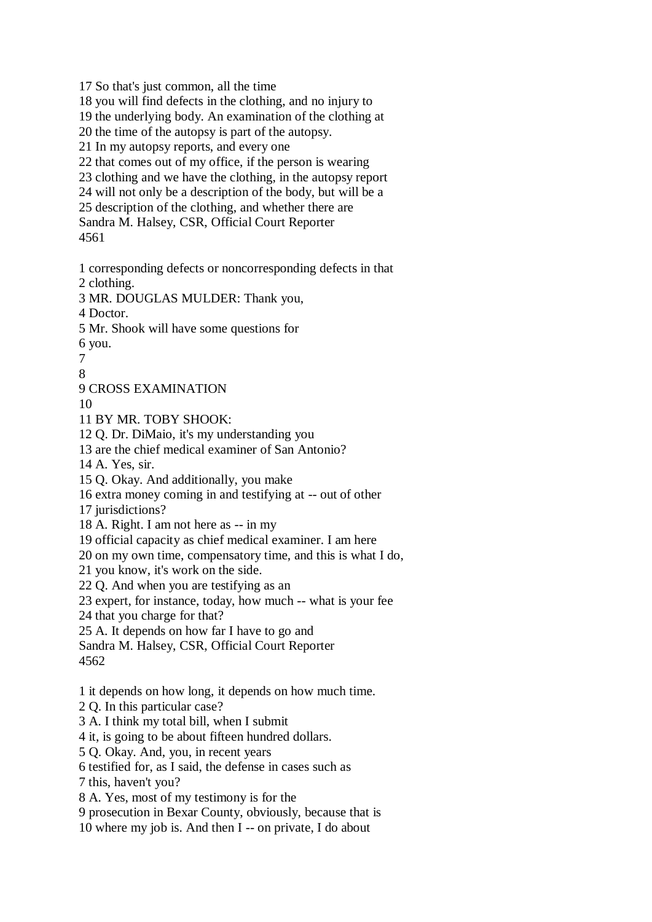17 So that's just common, all the time 18 you will find defects in the clothing, and no injury to 19 the underlying body. An examination of the clothing at 20 the time of the autopsy is part of the autopsy. 21 In my autopsy reports, and every one 22 that comes out of my office, if the person is wearing 23 clothing and we have the clothing, in the autopsy report 24 will not only be a description of the body, but will be a 25 description of the clothing, and whether there are Sandra M. Halsey, CSR, Official Court Reporter 4561 1 corresponding defects or noncorresponding defects in that 2 clothing. 3 MR. DOUGLAS MULDER: Thank you, 4 Doctor. 5 Mr. Shook will have some questions for 6 you. 7 8 9 CROSS EXAMINATION 10 11 BY MR. TOBY SHOOK: 12 Q. Dr. DiMaio, it's my understanding you 13 are the chief medical examiner of San Antonio? 14 A. Yes, sir. 15 Q. Okay. And additionally, you make 16 extra money coming in and testifying at -- out of other 17 jurisdictions? 18 A. Right. I am not here as -- in my 19 official capacity as chief medical examiner. I am here 20 on my own time, compensatory time, and this is what I do, 21 you know, it's work on the side. 22 Q. And when you are testifying as an 23 expert, for instance, today, how much -- what is your fee 24 that you charge for that? 25 A. It depends on how far I have to go and Sandra M. Halsey, CSR, Official Court Reporter 4562 1 it depends on how long, it depends on how much time. 2 Q. In this particular case? 3 A. I think my total bill, when I submit 4 it, is going to be about fifteen hundred dollars. 5 Q. Okay. And, you, in recent years 6 testified for, as I said, the defense in cases such as 7 this, haven't you? 8 A. Yes, most of my testimony is for the 9 prosecution in Bexar County, obviously, because that is

10 where my job is. And then I -- on private, I do about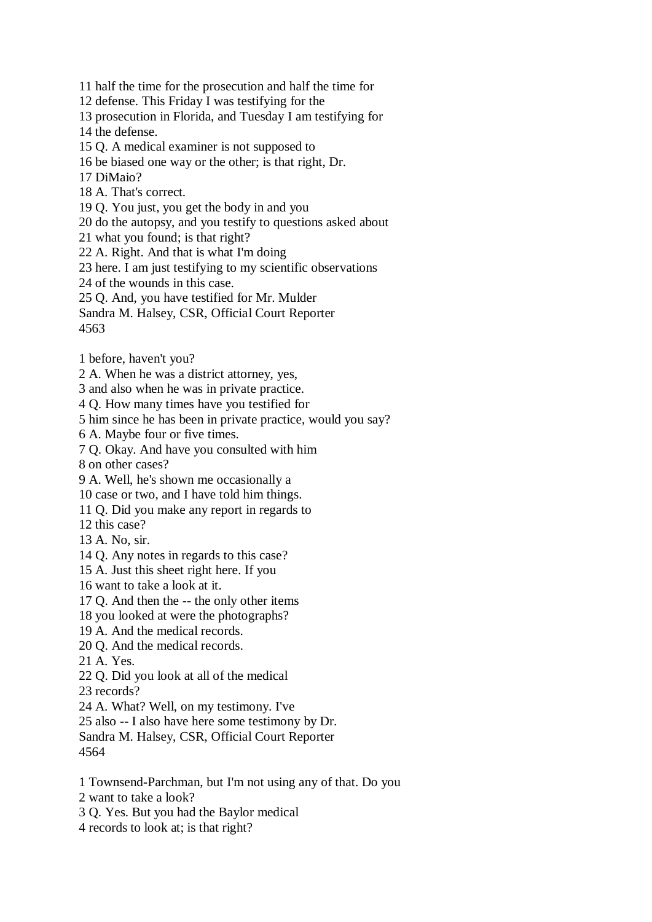11 half the time for the prosecution and half the time for

12 defense. This Friday I was testifying for the

13 prosecution in Florida, and Tuesday I am testifying for

14 the defense.

15 Q. A medical examiner is not supposed to

16 be biased one way or the other; is that right, Dr.

17 DiMaio?

18 A. That's correct.

19 Q. You just, you get the body in and you

20 do the autopsy, and you testify to questions asked about

21 what you found; is that right?

22 A. Right. And that is what I'm doing

23 here. I am just testifying to my scientific observations

24 of the wounds in this case.

25 Q. And, you have testified for Mr. Mulder

Sandra M. Halsey, CSR, Official Court Reporter 4563

1 before, haven't you?

2 A. When he was a district attorney, yes,

3 and also when he was in private practice.

4 Q. How many times have you testified for

5 him since he has been in private practice, would you say?

6 A. Maybe four or five times.

7 Q. Okay. And have you consulted with him

8 on other cases?

9 A. Well, he's shown me occasionally a

10 case or two, and I have told him things.

11 Q. Did you make any report in regards to

12 this case?

- 13 A. No, sir.
- 14 Q. Any notes in regards to this case?

15 A. Just this sheet right here. If you

16 want to take a look at it.

17 Q. And then the -- the only other items

18 you looked at were the photographs?

19 A. And the medical records.

20 Q. And the medical records.

21 A. Yes.

22 Q. Did you look at all of the medical

23 records?

24 A. What? Well, on my testimony. I've

25 also -- I also have here some testimony by Dr.

Sandra M. Halsey, CSR, Official Court Reporter 4564

1 Townsend-Parchman, but I'm not using any of that. Do you

2 want to take a look?

3 Q. Yes. But you had the Baylor medical

4 records to look at; is that right?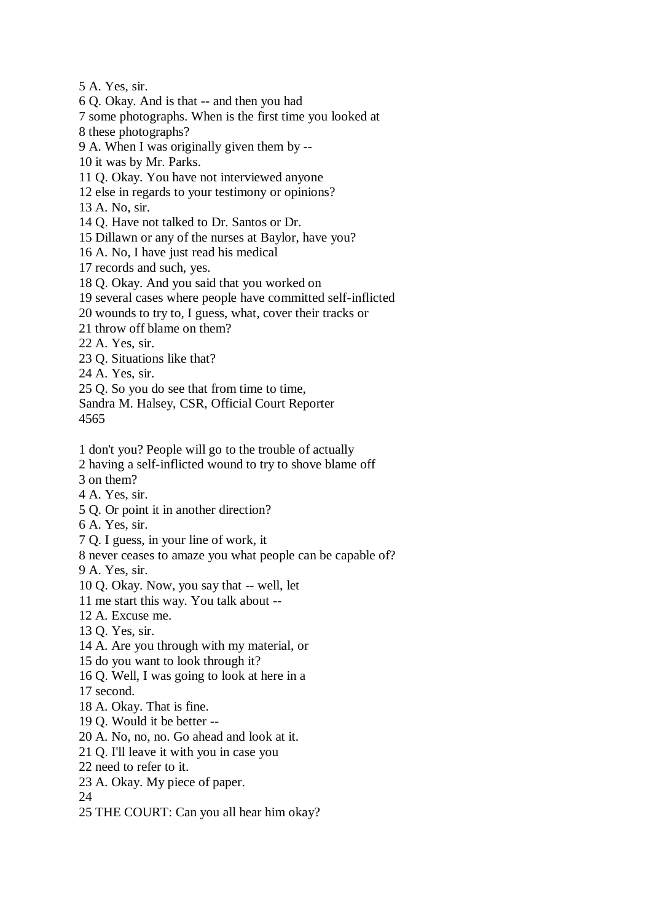5 A. Yes, sir.

6 Q. Okay. And is that -- and then you had

- 7 some photographs. When is the first time you looked at
- 8 these photographs?
- 9 A. When I was originally given them by --
- 10 it was by Mr. Parks.
- 11 Q. Okay. You have not interviewed anyone
- 12 else in regards to your testimony or opinions?
- 13 A. No, sir.
- 14 Q. Have not talked to Dr. Santos or Dr.
- 15 Dillawn or any of the nurses at Baylor, have you?
- 16 A. No, I have just read his medical
- 17 records and such, yes.
- 18 Q. Okay. And you said that you worked on
- 19 several cases where people have committed self-inflicted
- 20 wounds to try to, I guess, what, cover their tracks or
- 21 throw off blame on them?
- 22 A. Yes, sir.
- 23 Q. Situations like that?
- 24 A. Yes, sir.
- 25 Q. So you do see that from time to time,
- Sandra M. Halsey, CSR, Official Court Reporter 4565
- 1 don't you? People will go to the trouble of actually
- 2 having a self-inflicted wound to try to shove blame off
- 3 on them?
- 4 A. Yes, sir.
- 5 Q. Or point it in another direction?
- 6 A. Yes, sir.
- 7 Q. I guess, in your line of work, it
- 8 never ceases to amaze you what people can be capable of?
- 9 A. Yes, sir.
- 10 Q. Okay. Now, you say that -- well, let
- 11 me start this way. You talk about --
- 12 A. Excuse me.
- 13 Q. Yes, sir.
- 14 A. Are you through with my material, or
- 15 do you want to look through it?
- 16 Q. Well, I was going to look at here in a
- 17 second.
- 18 A. Okay. That is fine.
- 19 Q. Would it be better --
- 20 A. No, no, no. Go ahead and look at it.
- 21 Q. I'll leave it with you in case you
- 22 need to refer to it.
- 23 A. Okay. My piece of paper.
- 24
- 25 THE COURT: Can you all hear him okay?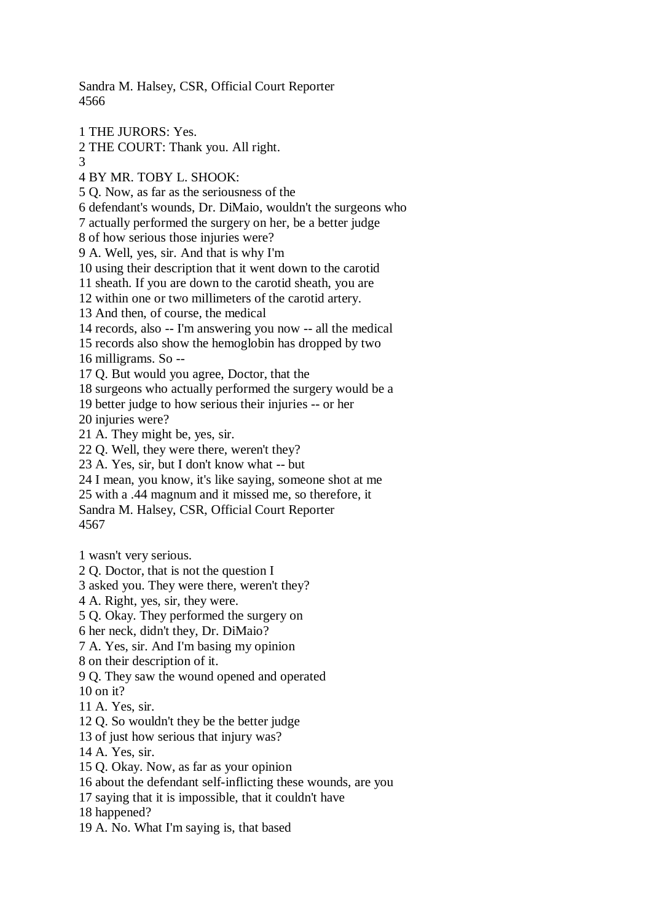Sandra M. Halsey, CSR, Official Court Reporter 4566

1 THE JURORS: Yes. 2 THE COURT: Thank you. All right. 3 4 BY MR. TOBY L. SHOOK: 5 Q. Now, as far as the seriousness of the 6 defendant's wounds, Dr. DiMaio, wouldn't the surgeons who 7 actually performed the surgery on her, be a better judge 8 of how serious those injuries were? 9 A. Well, yes, sir. And that is why I'm 10 using their description that it went down to the carotid 11 sheath. If you are down to the carotid sheath, you are 12 within one or two millimeters of the carotid artery. 13 And then, of course, the medical 14 records, also -- I'm answering you now -- all the medical 15 records also show the hemoglobin has dropped by two 16 milligrams. So -- 17 Q. But would you agree, Doctor, that the 18 surgeons who actually performed the surgery would be a 19 better judge to how serious their injuries -- or her 20 injuries were? 21 A. They might be, yes, sir. 22 Q. Well, they were there, weren't they? 23 A. Yes, sir, but I don't know what -- but 24 I mean, you know, it's like saying, someone shot at me 25 with a .44 magnum and it missed me, so therefore, it Sandra M. Halsey, CSR, Official Court Reporter 4567 1 wasn't very serious. 2 Q. Doctor, that is not the question I 3 asked you. They were there, weren't they? 4 A. Right, yes, sir, they were. 5 Q. Okay. They performed the surgery on 6 her neck, didn't they, Dr. DiMaio? 7 A. Yes, sir. And I'm basing my opinion 8 on their description of it. 9 Q. They saw the wound opened and operated

 $10$  on it?

11 A. Yes, sir.

12 Q. So wouldn't they be the better judge

13 of just how serious that injury was?

14 A. Yes, sir.

15 Q. Okay. Now, as far as your opinion

16 about the defendant self-inflicting these wounds, are you

17 saying that it is impossible, that it couldn't have

18 happened?

19 A. No. What I'm saying is, that based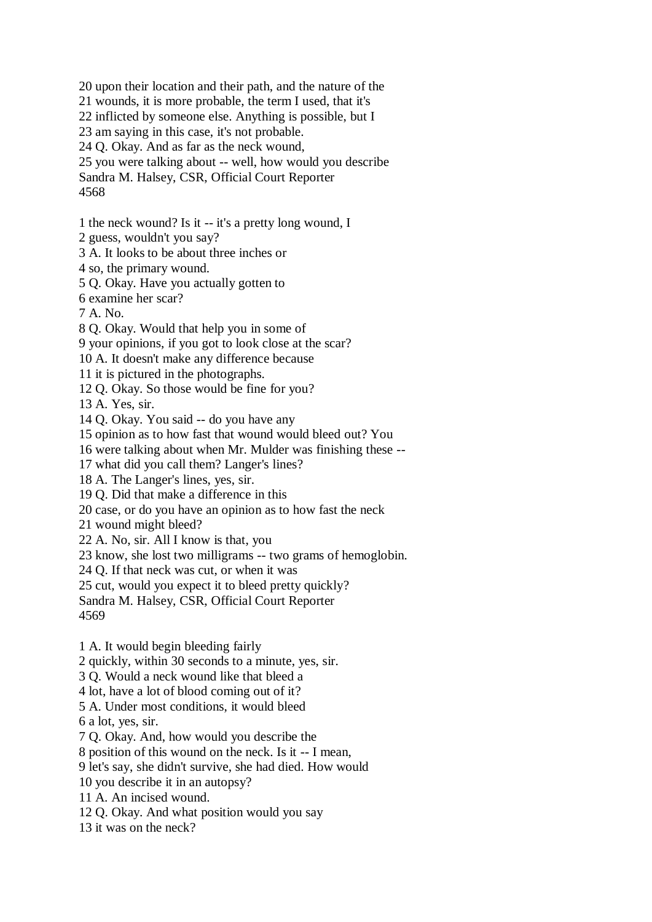20 upon their location and their path, and the nature of the 21 wounds, it is more probable, the term I used, that it's 22 inflicted by someone else. Anything is possible, but I 23 am saying in this case, it's not probable. 24 Q. Okay. And as far as the neck wound, 25 you were talking about -- well, how would you describe Sandra M. Halsey, CSR, Official Court Reporter 4568 1 the neck wound? Is it -- it's a pretty long wound, I

2 guess, wouldn't you say?

3 A. It looks to be about three inches or

4 so, the primary wound.

5 Q. Okay. Have you actually gotten to

6 examine her scar?

7 A. No.

8 Q. Okay. Would that help you in some of

9 your opinions, if you got to look close at the scar?

10 A. It doesn't make any difference because

11 it is pictured in the photographs.

12 Q. Okay. So those would be fine for you?

13 A. Yes, sir.

14 Q. Okay. You said -- do you have any

15 opinion as to how fast that wound would bleed out? You

16 were talking about when Mr. Mulder was finishing these --

17 what did you call them? Langer's lines?

18 A. The Langer's lines, yes, sir.

19 Q. Did that make a difference in this

20 case, or do you have an opinion as to how fast the neck

21 wound might bleed?

22 A. No, sir. All I know is that, you

23 know, she lost two milligrams -- two grams of hemoglobin.

24 Q. If that neck was cut, or when it was

25 cut, would you expect it to bleed pretty quickly?

Sandra M. Halsey, CSR, Official Court Reporter

4569

1 A. It would begin bleeding fairly

2 quickly, within 30 seconds to a minute, yes, sir.

3 Q. Would a neck wound like that bleed a

4 lot, have a lot of blood coming out of it?

5 A. Under most conditions, it would bleed

6 a lot, yes, sir.

7 Q. Okay. And, how would you describe the

8 position of this wound on the neck. Is it -- I mean,

9 let's say, she didn't survive, she had died. How would

10 you describe it in an autopsy?

11 A. An incised wound.

12 Q. Okay. And what position would you say

13 it was on the neck?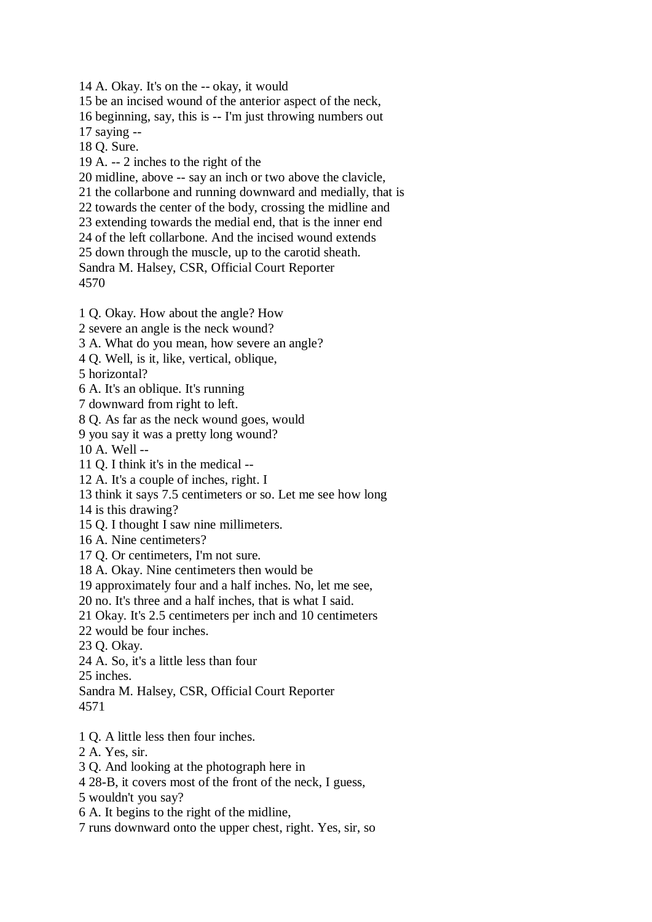14 A. Okay. It's on the -- okay, it would 15 be an incised wound of the anterior aspect of the neck, 16 beginning, say, this is -- I'm just throwing numbers out 17 saying -- 18 Q. Sure. 19 A. -- 2 inches to the right of the 20 midline, above -- say an inch or two above the clavicle, 21 the collarbone and running downward and medially, that is 22 towards the center of the body, crossing the midline and 23 extending towards the medial end, that is the inner end 24 of the left collarbone. And the incised wound extends 25 down through the muscle, up to the carotid sheath. Sandra M. Halsey, CSR, Official Court Reporter 4570 1 Q. Okay. How about the angle? How 2 severe an angle is the neck wound? 3 A. What do you mean, how severe an angle? 4 Q. Well, is it, like, vertical, oblique, 5 horizontal?

6 A. It's an oblique. It's running

7 downward from right to left.

8 Q. As far as the neck wound goes, would

9 you say it was a pretty long wound?

10 A. Well --

11 Q. I think it's in the medical --

12 A. It's a couple of inches, right. I

13 think it says 7.5 centimeters or so. Let me see how long

14 is this drawing?

15 Q. I thought I saw nine millimeters.

16 A. Nine centimeters?

17 Q. Or centimeters, I'm not sure.

18 A. Okay. Nine centimeters then would be

19 approximately four and a half inches. No, let me see,

20 no. It's three and a half inches, that is what I said.

21 Okay. It's 2.5 centimeters per inch and 10 centimeters

22 would be four inches.

23 Q. Okay.

24 A. So, it's a little less than four

25 inches.

Sandra M. Halsey, CSR, Official Court Reporter

4571

1 Q. A little less then four inches.

2 A. Yes, sir.

3 Q. And looking at the photograph here in

4 28-B, it covers most of the front of the neck, I guess,

5 wouldn't you say?

6 A. It begins to the right of the midline,

7 runs downward onto the upper chest, right. Yes, sir, so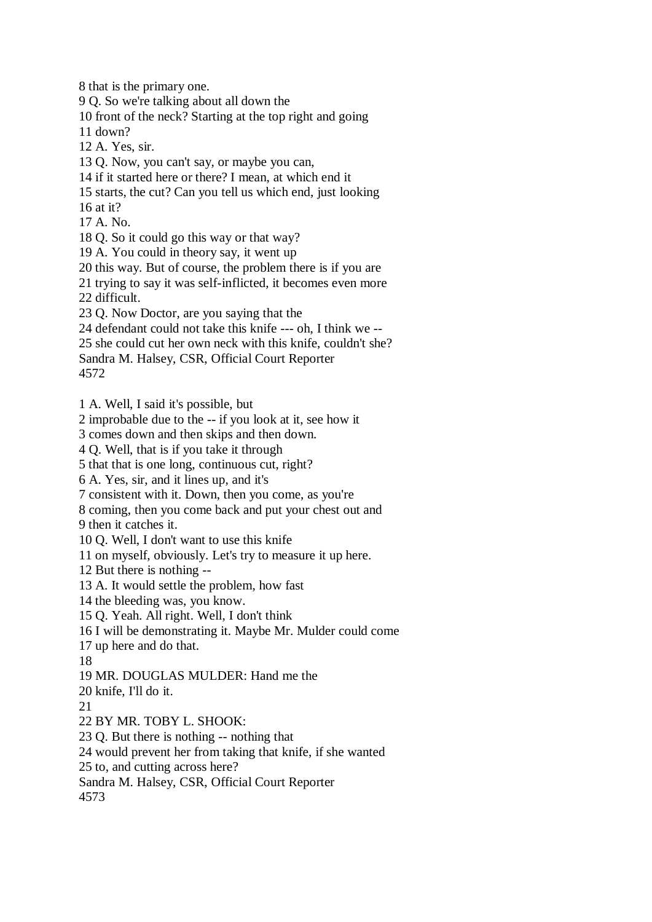8 that is the primary one.

9 Q. So we're talking about all down the

10 front of the neck? Starting at the top right and going

11 down?

12 A. Yes, sir.

13 Q. Now, you can't say, or maybe you can,

14 if it started here or there? I mean, at which end it

15 starts, the cut? Can you tell us which end, just looking

16 at it?

17 A. No.

18 Q. So it could go this way or that way?

19 A. You could in theory say, it went up

20 this way. But of course, the problem there is if you are

21 trying to say it was self-inflicted, it becomes even more

22 difficult.

23 Q. Now Doctor, are you saying that the

24 defendant could not take this knife --- oh, I think we --

25 she could cut her own neck with this knife, couldn't she?

Sandra M. Halsey, CSR, Official Court Reporter

4572

1 A. Well, I said it's possible, but

2 improbable due to the -- if you look at it, see how it

3 comes down and then skips and then down.

4 Q. Well, that is if you take it through

5 that that is one long, continuous cut, right?

6 A. Yes, sir, and it lines up, and it's

7 consistent with it. Down, then you come, as you're

8 coming, then you come back and put your chest out and

9 then it catches it.

10 Q. Well, I don't want to use this knife

11 on myself, obviously. Let's try to measure it up here.

12 But there is nothing --

13 A. It would settle the problem, how fast

14 the bleeding was, you know.

15 Q. Yeah. All right. Well, I don't think

16 I will be demonstrating it. Maybe Mr. Mulder could come

17 up here and do that.

18

19 MR. DOUGLAS MULDER: Hand me the

20 knife, I'll do it.

21

22 BY MR. TOBY L. SHOOK:

23 Q. But there is nothing -- nothing that

24 would prevent her from taking that knife, if she wanted

25 to, and cutting across here?

Sandra M. Halsey, CSR, Official Court Reporter

4573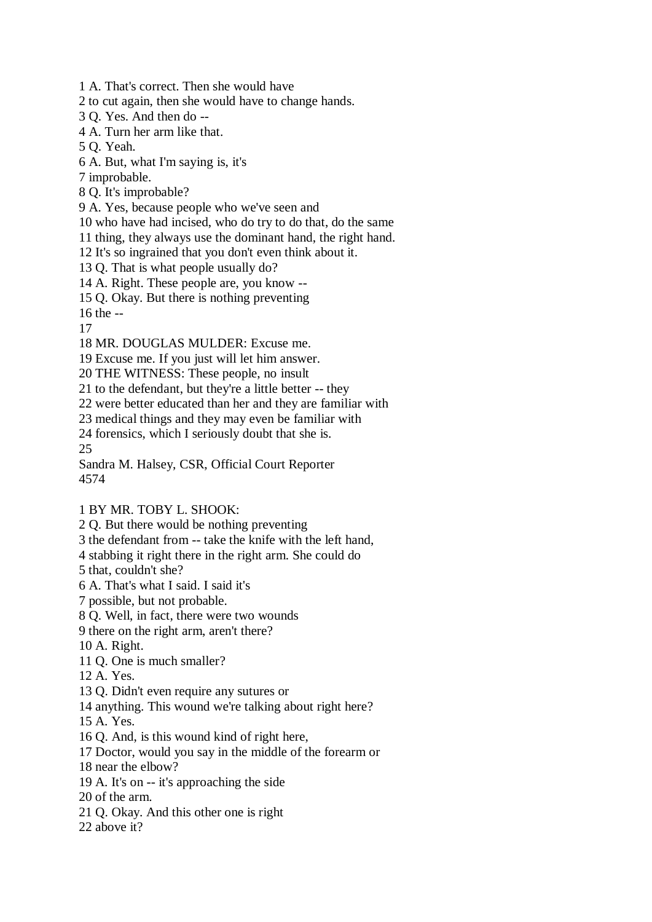1 A. That's correct. Then she would have

2 to cut again, then she would have to change hands.

3 Q. Yes. And then do --

4 A. Turn her arm like that.

5 Q. Yeah.

6 A. But, what I'm saying is, it's

7 improbable.

8 Q. It's improbable?

9 A. Yes, because people who we've seen and

10 who have had incised, who do try to do that, do the same

11 thing, they always use the dominant hand, the right hand.

12 It's so ingrained that you don't even think about it.

13 Q. That is what people usually do?

14 A. Right. These people are, you know --

15 Q. Okay. But there is nothing preventing

16 the --

17

18 MR. DOUGLAS MULDER: Excuse me.

19 Excuse me. If you just will let him answer.

20 THE WITNESS: These people, no insult

21 to the defendant, but they're a little better -- they

22 were better educated than her and they are familiar with

23 medical things and they may even be familiar with

24 forensics, which I seriously doubt that she is.

25

Sandra M. Halsey, CSR, Official Court Reporter 4574

## 1 BY MR. TOBY L. SHOOK:

2 Q. But there would be nothing preventing

3 the defendant from -- take the knife with the left hand,

4 stabbing it right there in the right arm. She could do

5 that, couldn't she?

6 A. That's what I said. I said it's

7 possible, but not probable.

8 Q. Well, in fact, there were two wounds

9 there on the right arm, aren't there?

10 A. Right.

11 Q. One is much smaller?

12 A. Yes.

13 Q. Didn't even require any sutures or

14 anything. This wound we're talking about right here?

15 A. Yes.

16 Q. And, is this wound kind of right here,

17 Doctor, would you say in the middle of the forearm or

18 near the elbow?

19 A. It's on -- it's approaching the side

20 of the arm.

21 Q. Okay. And this other one is right

22 above it?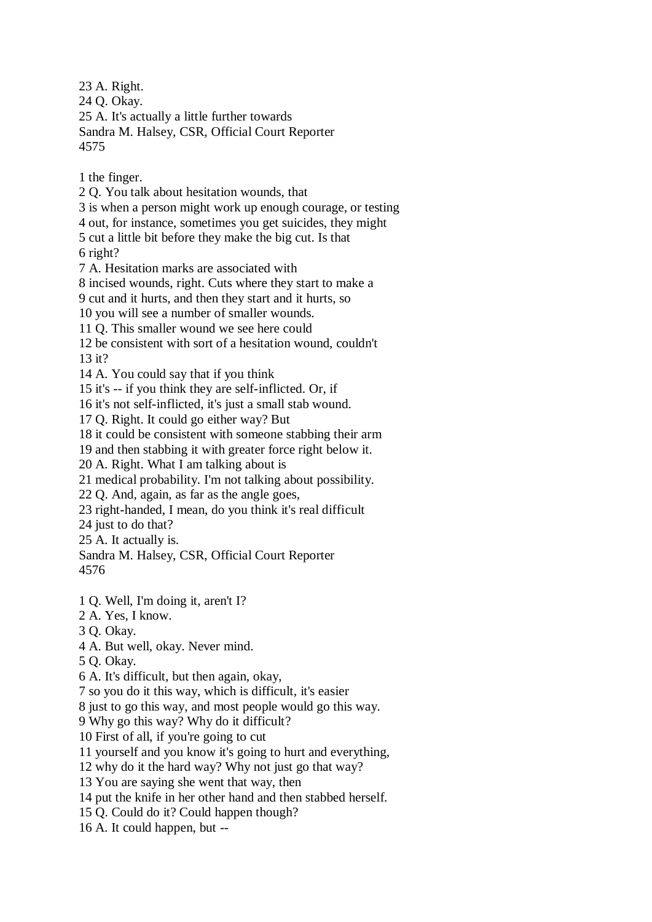23 A. Right. 24 Q. Okay. 25 A. It's actually a little further towards Sandra M. Halsey, CSR, Official Court Reporter 4575

1 the finger.

2 Q. You talk about hesitation wounds, that

3 is when a person might work up enough courage, or testing

4 out, for instance, sometimes you get suicides, they might

5 cut a little bit before they make the big cut. Is that

6 right?

7 A. Hesitation marks are associated with

8 incised wounds, right. Cuts where they start to make a

9 cut and it hurts, and then they start and it hurts, so

10 you will see a number of smaller wounds.

11 Q. This smaller wound we see here could

12 be consistent with sort of a hesitation wound, couldn't 13 it?

14 A. You could say that if you think

15 it's -- if you think they are self-inflicted. Or, if

16 it's not self-inflicted, it's just a small stab wound.

17 Q. Right. It could go either way? But

18 it could be consistent with someone stabbing their arm

19 and then stabbing it with greater force right below it.

20 A. Right. What I am talking about is

21 medical probability. I'm not talking about possibility.

22 Q. And, again, as far as the angle goes,

23 right-handed, I mean, do you think it's real difficult

24 just to do that?

25 A. It actually is.

Sandra M. Halsey, CSR, Official Court Reporter 4576

1 Q. Well, I'm doing it, aren't I?

2 A. Yes, I know.

3 Q. Okay.

4 A. But well, okay. Never mind.

5 Q. Okay.

6 A. It's difficult, but then again, okay,

7 so you do it this way, which is difficult, it's easier

8 just to go this way, and most people would go this way.

9 Why go this way? Why do it difficult?

10 First of all, if you're going to cut

11 yourself and you know it's going to hurt and everything,

12 why do it the hard way? Why not just go that way?

13 You are saying she went that way, then

14 put the knife in her other hand and then stabbed herself.

15 Q. Could do it? Could happen though?

16 A. It could happen, but --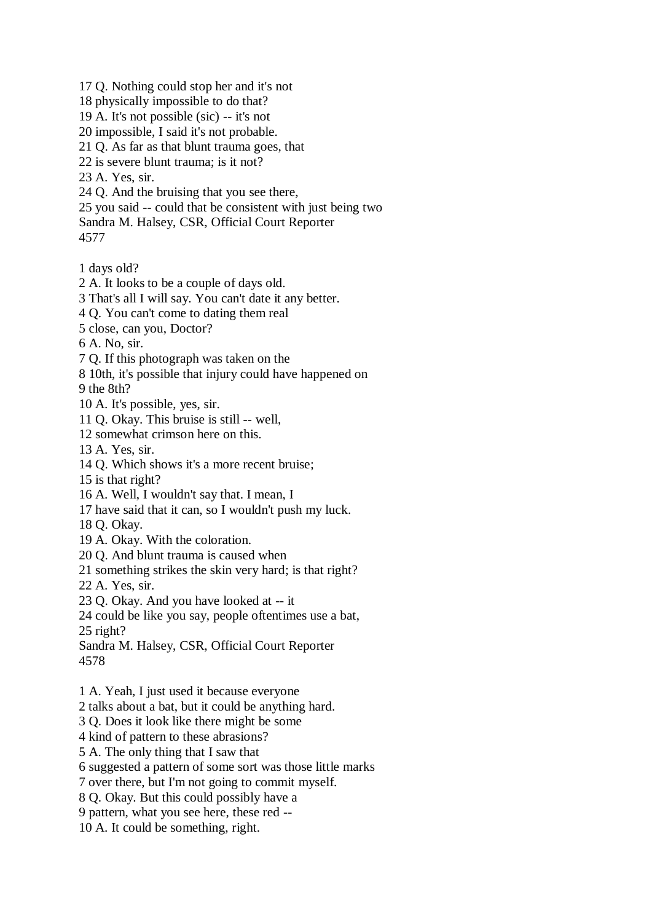17 Q. Nothing could stop her and it's not 18 physically impossible to do that? 19 A. It's not possible (sic) -- it's not 20 impossible, I said it's not probable. 21 Q. As far as that blunt trauma goes, that 22 is severe blunt trauma; is it not? 23 A. Yes, sir. 24 Q. And the bruising that you see there, 25 you said -- could that be consistent with just being two Sandra M. Halsey, CSR, Official Court Reporter 4577 1 days old? 2 A. It looks to be a couple of days old. 3 That's all I will say. You can't date it any better. 4 Q. You can't come to dating them real 5 close, can you, Doctor? 6 A. No, sir. 7 Q. If this photograph was taken on the 8 10th, it's possible that injury could have happened on 9 the 8th? 10 A. It's possible, yes, sir. 11 Q. Okay. This bruise is still -- well, 12 somewhat crimson here on this. 13 A. Yes, sir. 14 Q. Which shows it's a more recent bruise; 15 is that right? 16 A. Well, I wouldn't say that. I mean, I 17 have said that it can, so I wouldn't push my luck. 18 Q. Okay. 19 A. Okay. With the coloration. 20 Q. And blunt trauma is caused when 21 something strikes the skin very hard; is that right? 22 A. Yes, sir. 23 Q. Okay. And you have looked at -- it 24 could be like you say, people oftentimes use a bat, 25 right? Sandra M. Halsey, CSR, Official Court Reporter 4578 1 A. Yeah, I just used it because everyone 2 talks about a bat, but it could be anything hard. 3 Q. Does it look like there might be some 4 kind of pattern to these abrasions? 5 A. The only thing that I saw that 6 suggested a pattern of some sort was those little marks 7 over there, but I'm not going to commit myself. 8 Q. Okay. But this could possibly have a

9 pattern, what you see here, these red --

10 A. It could be something, right.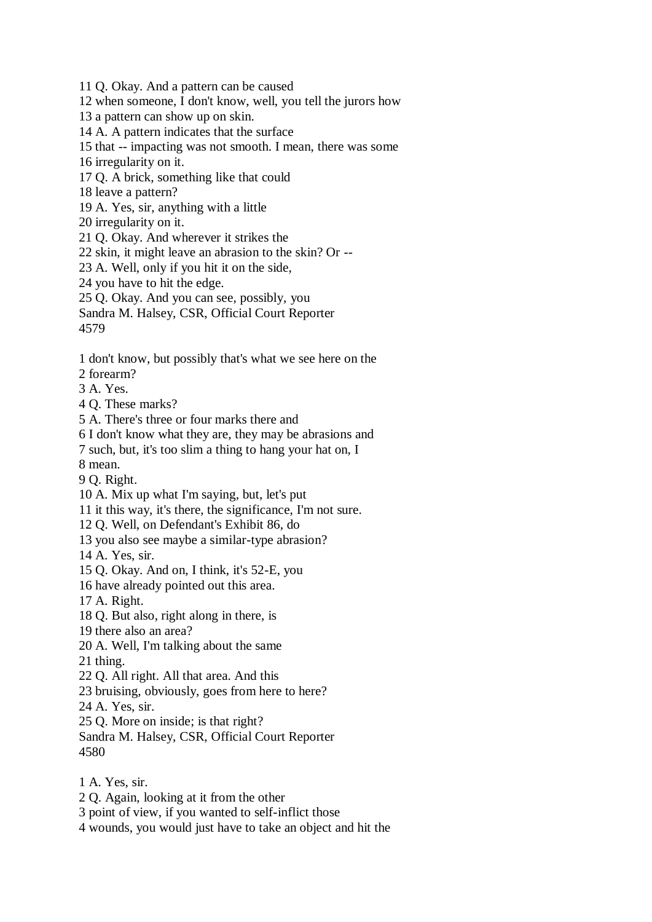11 Q. Okay. And a pattern can be caused

12 when someone, I don't know, well, you tell the jurors how

13 a pattern can show up on skin.

14 A. A pattern indicates that the surface

15 that -- impacting was not smooth. I mean, there was some

16 irregularity on it.

17 Q. A brick, something like that could

18 leave a pattern?

19 A. Yes, sir, anything with a little

20 irregularity on it.

21 Q. Okay. And wherever it strikes the

22 skin, it might leave an abrasion to the skin? Or --

23 A. Well, only if you hit it on the side,

24 you have to hit the edge.

25 Q. Okay. And you can see, possibly, you

Sandra M. Halsey, CSR, Official Court Reporter

4579

1 don't know, but possibly that's what we see here on the

2 forearm?

3 A. Yes.

4 Q. These marks?

5 A. There's three or four marks there and

6 I don't know what they are, they may be abrasions and

7 such, but, it's too slim a thing to hang your hat on, I

8 mean.

9 Q. Right.

10 A. Mix up what I'm saying, but, let's put

11 it this way, it's there, the significance, I'm not sure.

12 Q. Well, on Defendant's Exhibit 86, do

13 you also see maybe a similar-type abrasion?

14 A. Yes, sir.

15 Q. Okay. And on, I think, it's 52-E, you

16 have already pointed out this area.

17 A. Right.

18 Q. But also, right along in there, is

19 there also an area?

20 A. Well, I'm talking about the same

21 thing.

22 Q. All right. All that area. And this

23 bruising, obviously, goes from here to here?

24 A. Yes, sir.

25 Q. More on inside; is that right?

Sandra M. Halsey, CSR, Official Court Reporter 4580

1 A. Yes, sir.

2 Q. Again, looking at it from the other

3 point of view, if you wanted to self-inflict those

4 wounds, you would just have to take an object and hit the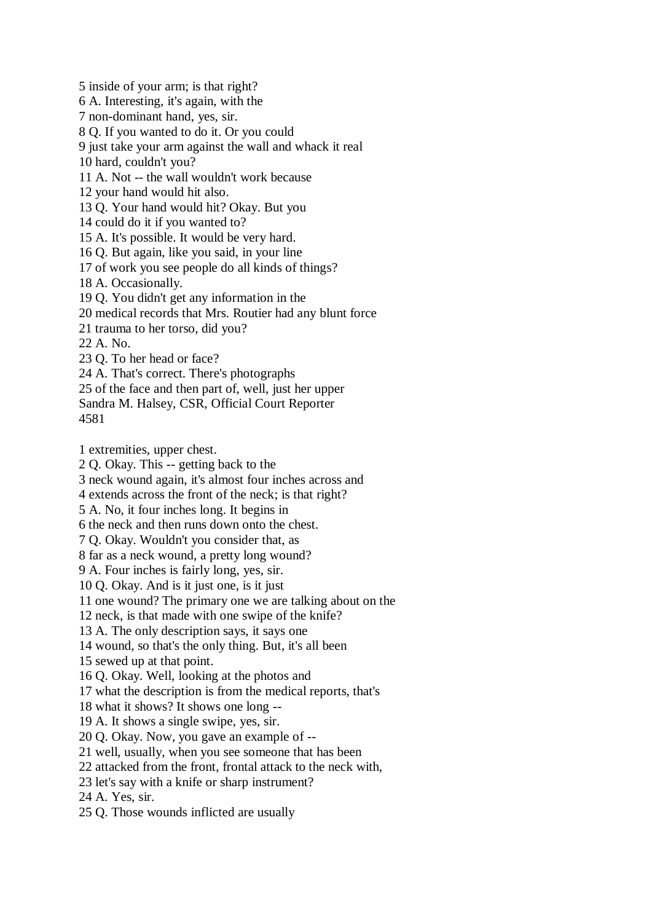5 inside of your arm; is that right? 6 A. Interesting, it's again, with the 7 non-dominant hand, yes, sir. 8 Q. If you wanted to do it. Or you could 9 just take your arm against the wall and whack it real 10 hard, couldn't you? 11 A. Not -- the wall wouldn't work because 12 your hand would hit also. 13 Q. Your hand would hit? Okay. But you 14 could do it if you wanted to? 15 A. It's possible. It would be very hard. 16 Q. But again, like you said, in your line 17 of work you see people do all kinds of things? 18 A. Occasionally. 19 Q. You didn't get any information in the 20 medical records that Mrs. Routier had any blunt force 21 trauma to her torso, did you? 22 A. No. 23 Q. To her head or face? 24 A. That's correct. There's photographs 25 of the face and then part of, well, just her upper Sandra M. Halsey, CSR, Official Court Reporter 4581

1 extremities, upper chest.

2 Q. Okay. This -- getting back to the

3 neck wound again, it's almost four inches across and

4 extends across the front of the neck; is that right?

5 A. No, it four inches long. It begins in

6 the neck and then runs down onto the chest.

7 Q. Okay. Wouldn't you consider that, as

8 far as a neck wound, a pretty long wound?

9 A. Four inches is fairly long, yes, sir.

10 Q. Okay. And is it just one, is it just

11 one wound? The primary one we are talking about on the

12 neck, is that made with one swipe of the knife?

13 A. The only description says, it says one

14 wound, so that's the only thing. But, it's all been

15 sewed up at that point.

16 Q. Okay. Well, looking at the photos and

17 what the description is from the medical reports, that's

18 what it shows? It shows one long --

19 A. It shows a single swipe, yes, sir.

20 Q. Okay. Now, you gave an example of --

21 well, usually, when you see someone that has been

22 attacked from the front, frontal attack to the neck with,

23 let's say with a knife or sharp instrument?

24 A. Yes, sir.

25 Q. Those wounds inflicted are usually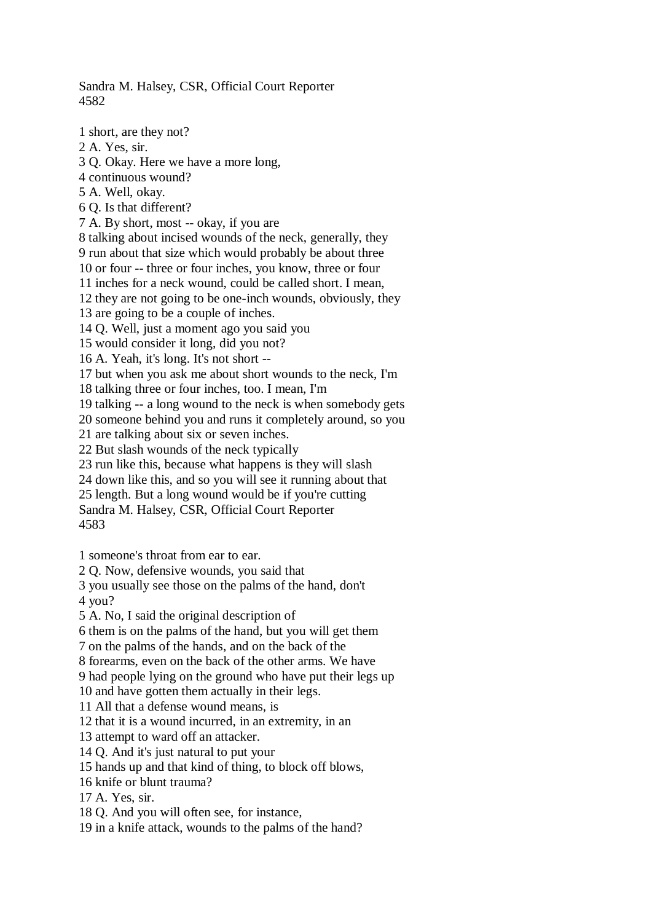Sandra M. Halsey, CSR, Official Court Reporter 4582

1 short, are they not? 2 A. Yes, sir. 3 Q. Okay. Here we have a more long, 4 continuous wound? 5 A. Well, okay. 6 Q. Is that different? 7 A. By short, most -- okay, if you are 8 talking about incised wounds of the neck, generally, they 9 run about that size which would probably be about three 10 or four -- three or four inches, you know, three or four 11 inches for a neck wound, could be called short. I mean, 12 they are not going to be one-inch wounds, obviously, they 13 are going to be a couple of inches. 14 Q. Well, just a moment ago you said you 15 would consider it long, did you not? 16 A. Yeah, it's long. It's not short -- 17 but when you ask me about short wounds to the neck, I'm 18 talking three or four inches, too. I mean, I'm 19 talking -- a long wound to the neck is when somebody gets 20 someone behind you and runs it completely around, so you 21 are talking about six or seven inches. 22 But slash wounds of the neck typically 23 run like this, because what happens is they will slash 24 down like this, and so you will see it running about that 25 length. But a long wound would be if you're cutting Sandra M. Halsey, CSR, Official Court Reporter 4583

1 someone's throat from ear to ear.

2 Q. Now, defensive wounds, you said that

3 you usually see those on the palms of the hand, don't 4 you?

5 A. No, I said the original description of

6 them is on the palms of the hand, but you will get them

7 on the palms of the hands, and on the back of the

8 forearms, even on the back of the other arms. We have

9 had people lying on the ground who have put their legs up

10 and have gotten them actually in their legs.

11 All that a defense wound means, is

12 that it is a wound incurred, in an extremity, in an

13 attempt to ward off an attacker.

14 Q. And it's just natural to put your

15 hands up and that kind of thing, to block off blows,

16 knife or blunt trauma?

17 A. Yes, sir.

18 Q. And you will often see, for instance,

19 in a knife attack, wounds to the palms of the hand?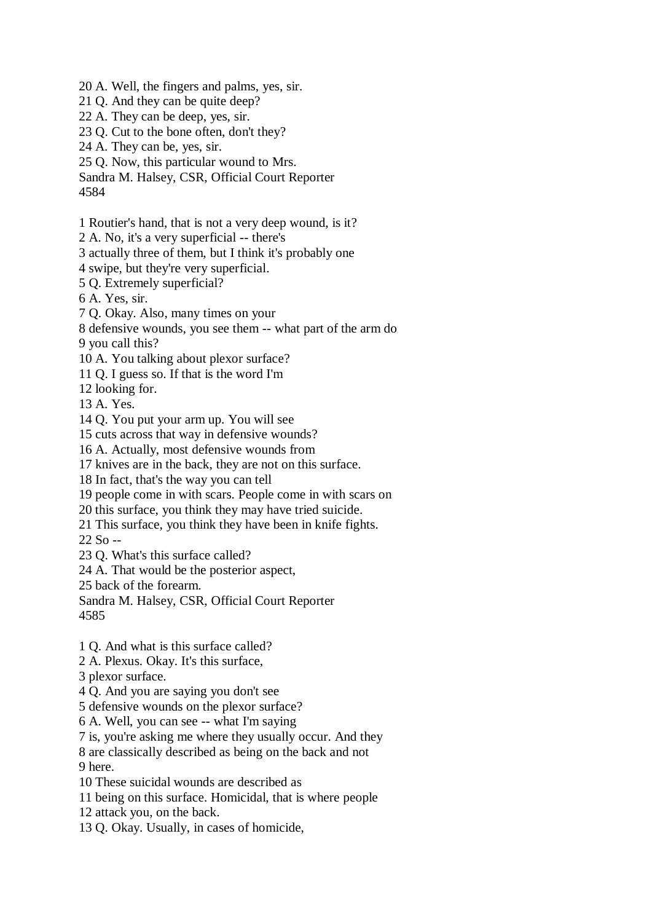20 A. Well, the fingers and palms, yes, sir. 21 Q. And they can be quite deep? 22 A. They can be deep, yes, sir. 23 Q. Cut to the bone often, don't they? 24 A. They can be, yes, sir. 25 Q. Now, this particular wound to Mrs. Sandra M. Halsey, CSR, Official Court Reporter 4584 1 Routier's hand, that is not a very deep wound, is it? 2 A. No, it's a very superficial -- there's 3 actually three of them, but I think it's probably one 4 swipe, but they're very superficial. 5 Q. Extremely superficial? 6 A. Yes, sir. 7 Q. Okay. Also, many times on your 8 defensive wounds, you see them -- what part of the arm do 9 you call this? 10 A. You talking about plexor surface? 11 Q. I guess so. If that is the word I'm 12 looking for. 13 A. Yes. 14 Q. You put your arm up. You will see 15 cuts across that way in defensive wounds? 16 A. Actually, most defensive wounds from 17 knives are in the back, they are not on this surface. 18 In fact, that's the way you can tell 19 people come in with scars. People come in with scars on 20 this surface, you think they may have tried suicide. 21 This surface, you think they have been in knife fights. 22 So -- 23 Q. What's this surface called? 24 A. That would be the posterior aspect, 25 back of the forearm. Sandra M. Halsey, CSR, Official Court Reporter 4585 1 Q. And what is this surface called? 2 A. Plexus. Okay. It's this surface, 3 plexor surface. 4 Q. And you are saying you don't see 5 defensive wounds on the plexor surface? 6 A. Well, you can see -- what I'm saying 7 is, you're asking me where they usually occur. And they 8 are classically described as being on the back and not 9 here. 10 These suicidal wounds are described as 11 being on this surface. Homicidal, that is where people

- 12 attack you, on the back.
- 13 Q. Okay. Usually, in cases of homicide,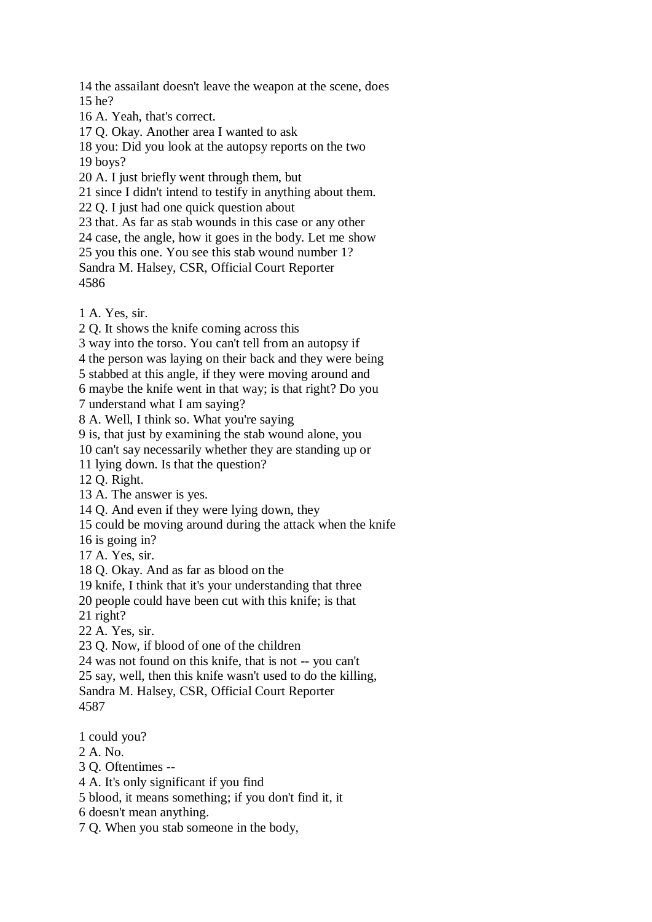14 the assailant doesn't leave the weapon at the scene, does 15 he?

16 A. Yeah, that's correct.

17 Q. Okay. Another area I wanted to ask

18 you: Did you look at the autopsy reports on the two 19 boys?

20 A. I just briefly went through them, but

21 since I didn't intend to testify in anything about them.

22 Q. I just had one quick question about

23 that. As far as stab wounds in this case or any other

24 case, the angle, how it goes in the body. Let me show

25 you this one. You see this stab wound number 1?

Sandra M. Halsey, CSR, Official Court Reporter 4586

1 A. Yes, sir.

2 Q. It shows the knife coming across this

3 way into the torso. You can't tell from an autopsy if

4 the person was laying on their back and they were being

5 stabbed at this angle, if they were moving around and

6 maybe the knife went in that way; is that right? Do you

7 understand what I am saying?

8 A. Well, I think so. What you're saying

9 is, that just by examining the stab wound alone, you

10 can't say necessarily whether they are standing up or

11 lying down. Is that the question?

12 Q. Right.

13 A. The answer is yes.

14 Q. And even if they were lying down, they

15 could be moving around during the attack when the knife

16 is going in?

17 A. Yes, sir.

18 Q. Okay. And as far as blood on the

19 knife, I think that it's your understanding that three

20 people could have been cut with this knife; is that

21 right?

22 A. Yes, sir.

23 Q. Now, if blood of one of the children

24 was not found on this knife, that is not -- you can't

25 say, well, then this knife wasn't used to do the killing,

Sandra M. Halsey, CSR, Official Court Reporter 4587

1 could you?

2 A. No.

3 Q. Oftentimes --

4 A. It's only significant if you find

5 blood, it means something; if you don't find it, it

6 doesn't mean anything.

7 Q. When you stab someone in the body,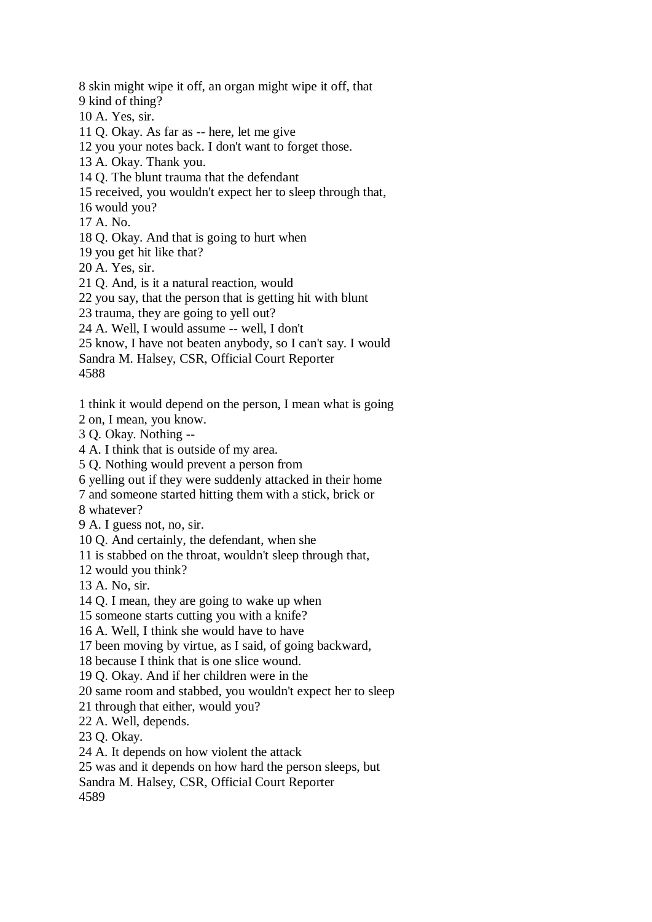8 skin might wipe it off, an organ might wipe it off, that 9 kind of thing? 10 A. Yes, sir. 11 Q. Okay. As far as -- here, let me give

12 you your notes back. I don't want to forget those.

13 A. Okay. Thank you.

14 Q. The blunt trauma that the defendant

15 received, you wouldn't expect her to sleep through that,

16 would you?

17 A. No.

18 Q. Okay. And that is going to hurt when

19 you get hit like that?

20 A. Yes, sir.

21 Q. And, is it a natural reaction, would

22 you say, that the person that is getting hit with blunt

23 trauma, they are going to yell out?

24 A. Well, I would assume -- well, I don't

25 know, I have not beaten anybody, so I can't say. I would

Sandra M. Halsey, CSR, Official Court Reporter

4588

1 think it would depend on the person, I mean what is going

2 on, I mean, you know.

3 Q. Okay. Nothing --

4 A. I think that is outside of my area.

5 Q. Nothing would prevent a person from

6 yelling out if they were suddenly attacked in their home

7 and someone started hitting them with a stick, brick or

8 whatever?

9 A. I guess not, no, sir.

10 Q. And certainly, the defendant, when she

11 is stabbed on the throat, wouldn't sleep through that,

12 would you think?

13 A. No, sir.

14 Q. I mean, they are going to wake up when

15 someone starts cutting you with a knife?

16 A. Well, I think she would have to have

17 been moving by virtue, as I said, of going backward,

18 because I think that is one slice wound.

19 Q. Okay. And if her children were in the

20 same room and stabbed, you wouldn't expect her to sleep

21 through that either, would you?

22 A. Well, depends.

23 Q. Okay.

24 A. It depends on how violent the attack

25 was and it depends on how hard the person sleeps, but

Sandra M. Halsey, CSR, Official Court Reporter

4589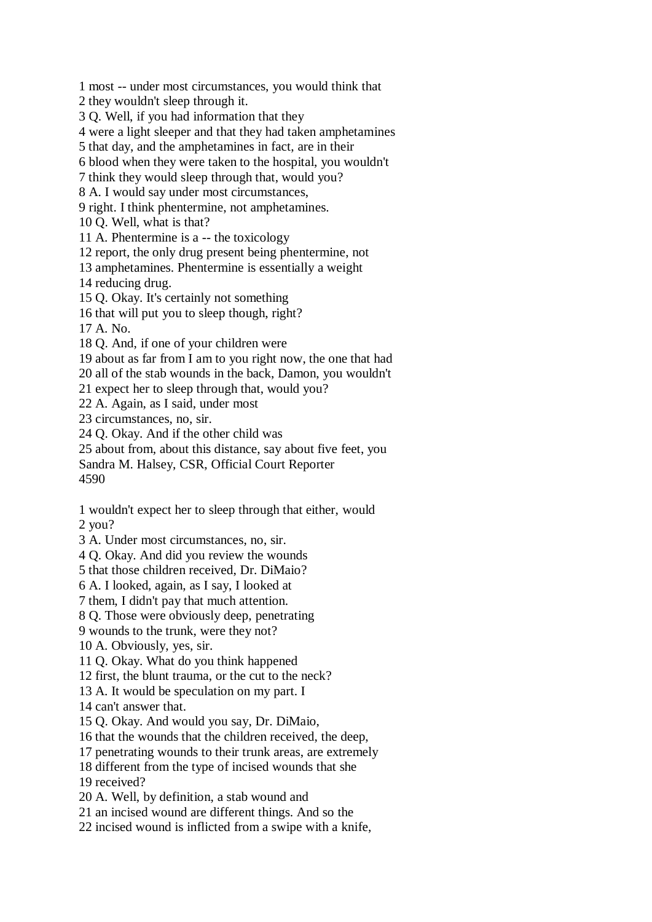1 most -- under most circumstances, you would think that

2 they wouldn't sleep through it.

3 Q. Well, if you had information that they

4 were a light sleeper and that they had taken amphetamines

5 that day, and the amphetamines in fact, are in their

6 blood when they were taken to the hospital, you wouldn't

7 think they would sleep through that, would you?

8 A. I would say under most circumstances,

9 right. I think phentermine, not amphetamines.

10 Q. Well, what is that?

11 A. Phentermine is a -- the toxicology

12 report, the only drug present being phentermine, not

13 amphetamines. Phentermine is essentially a weight

14 reducing drug.

15 Q. Okay. It's certainly not something

16 that will put you to sleep though, right?

17 A. No.

18 Q. And, if one of your children were

19 about as far from I am to you right now, the one that had

20 all of the stab wounds in the back, Damon, you wouldn't

21 expect her to sleep through that, would you?

22 A. Again, as I said, under most

23 circumstances, no, sir.

24 Q. Okay. And if the other child was

25 about from, about this distance, say about five feet, you

Sandra M. Halsey, CSR, Official Court Reporter

4590

1 wouldn't expect her to sleep through that either, would 2 you?

3 A. Under most circumstances, no, sir.

4 Q. Okay. And did you review the wounds

5 that those children received, Dr. DiMaio?

6 A. I looked, again, as I say, I looked at

7 them, I didn't pay that much attention.

8 Q. Those were obviously deep, penetrating

9 wounds to the trunk, were they not?

10 A. Obviously, yes, sir.

11 Q. Okay. What do you think happened

12 first, the blunt trauma, or the cut to the neck?

13 A. It would be speculation on my part. I

14 can't answer that.

15 Q. Okay. And would you say, Dr. DiMaio,

16 that the wounds that the children received, the deep,

17 penetrating wounds to their trunk areas, are extremely

18 different from the type of incised wounds that she

19 received?

20 A. Well, by definition, a stab wound and

21 an incised wound are different things. And so the

22 incised wound is inflicted from a swipe with a knife,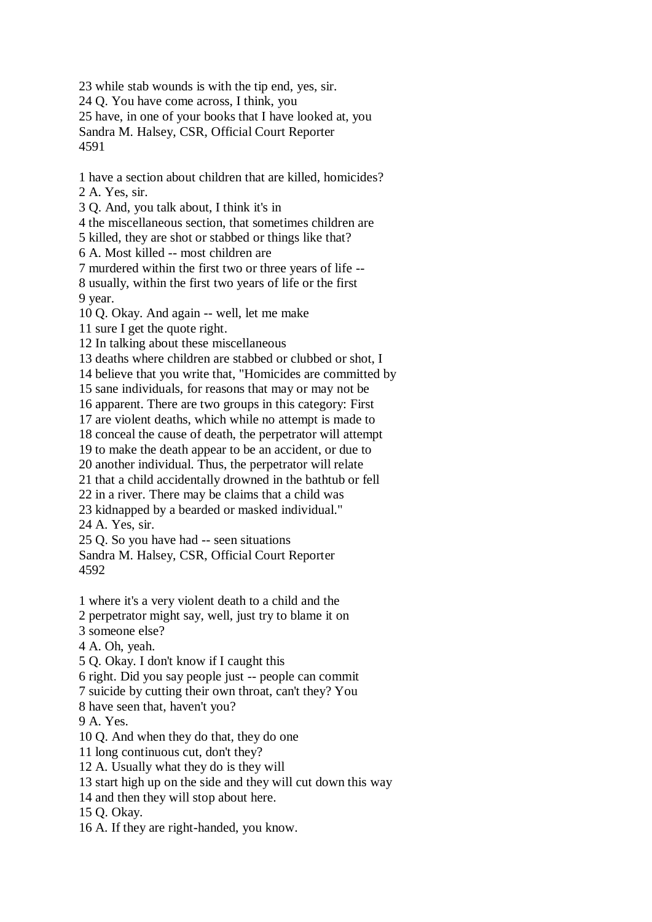23 while stab wounds is with the tip end, yes, sir.

24 Q. You have come across, I think, you

25 have, in one of your books that I have looked at, you

Sandra M. Halsey, CSR, Official Court Reporter 4591

1 have a section about children that are killed, homicides? 2 A. Yes, sir.

3 Q. And, you talk about, I think it's in

4 the miscellaneous section, that sometimes children are

5 killed, they are shot or stabbed or things like that?

6 A. Most killed -- most children are

7 murdered within the first two or three years of life --

8 usually, within the first two years of life or the first 9 year.

10 Q. Okay. And again -- well, let me make

11 sure I get the quote right.

12 In talking about these miscellaneous

13 deaths where children are stabbed or clubbed or shot, I

14 believe that you write that, "Homicides are committed by

15 sane individuals, for reasons that may or may not be

16 apparent. There are two groups in this category: First

17 are violent deaths, which while no attempt is made to

18 conceal the cause of death, the perpetrator will attempt

19 to make the death appear to be an accident, or due to

20 another individual. Thus, the perpetrator will relate

21 that a child accidentally drowned in the bathtub or fell

22 in a river. There may be claims that a child was

23 kidnapped by a bearded or masked individual."

24 A. Yes, sir.

25 Q. So you have had -- seen situations

Sandra M. Halsey, CSR, Official Court Reporter 4592

1 where it's a very violent death to a child and the

2 perpetrator might say, well, just try to blame it on

3 someone else?

4 A. Oh, yeah.

5 Q. Okay. I don't know if I caught this

6 right. Did you say people just -- people can commit

7 suicide by cutting their own throat, can't they? You

8 have seen that, haven't you?

9 A. Yes.

10 Q. And when they do that, they do one

11 long continuous cut, don't they?

12 A. Usually what they do is they will

13 start high up on the side and they will cut down this way

14 and then they will stop about here.

15 Q. Okay.

16 A. If they are right-handed, you know.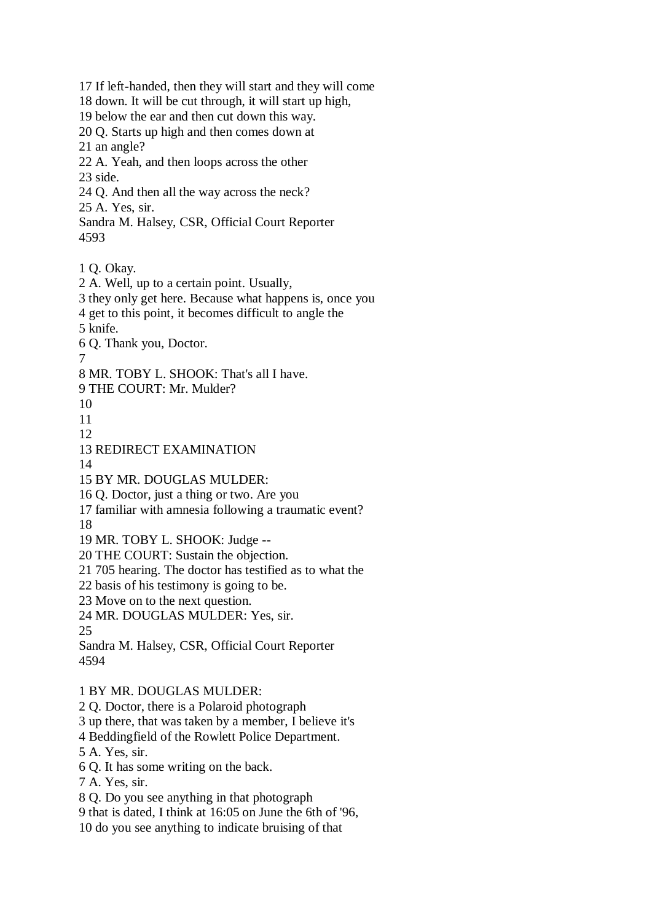17 If left-handed, then they will start and they will come 18 down. It will be cut through, it will start up high, 19 below the ear and then cut down this way. 20 Q. Starts up high and then comes down at 21 an angle? 22 A. Yeah, and then loops across the other 23 side. 24 Q. And then all the way across the neck? 25 A. Yes, sir. Sandra M. Halsey, CSR, Official Court Reporter 4593 1 Q. Okay. 2 A. Well, up to a certain point. Usually, 3 they only get here. Because what happens is, once you 4 get to this point, it becomes difficult to angle the 5 knife. 6 Q. Thank you, Doctor. 7 8 MR. TOBY L. SHOOK: That's all I have. 9 THE COURT: Mr. Mulder? 10 11 12 13 REDIRECT EXAMINATION 14 15 BY MR. DOUGLAS MULDER: 16 Q. Doctor, just a thing or two. Are you 17 familiar with amnesia following a traumatic event? 18 19 MR. TOBY L. SHOOK: Judge -- 20 THE COURT: Sustain the objection. 21 705 hearing. The doctor has testified as to what the 22 basis of his testimony is going to be. 23 Move on to the next question. 24 MR. DOUGLAS MULDER: Yes, sir. 25 Sandra M. Halsey, CSR, Official Court Reporter 4594 1 BY MR. DOUGLAS MULDER: 2 Q. Doctor, there is a Polaroid photograph 3 up there, that was taken by a member, I believe it's 4 Beddingfield of the Rowlett Police Department. 5 A. Yes, sir. 6 Q. It has some writing on the back. 7 A. Yes, sir. 8 Q. Do you see anything in that photograph 9 that is dated, I think at 16:05 on June the 6th of '96,

10 do you see anything to indicate bruising of that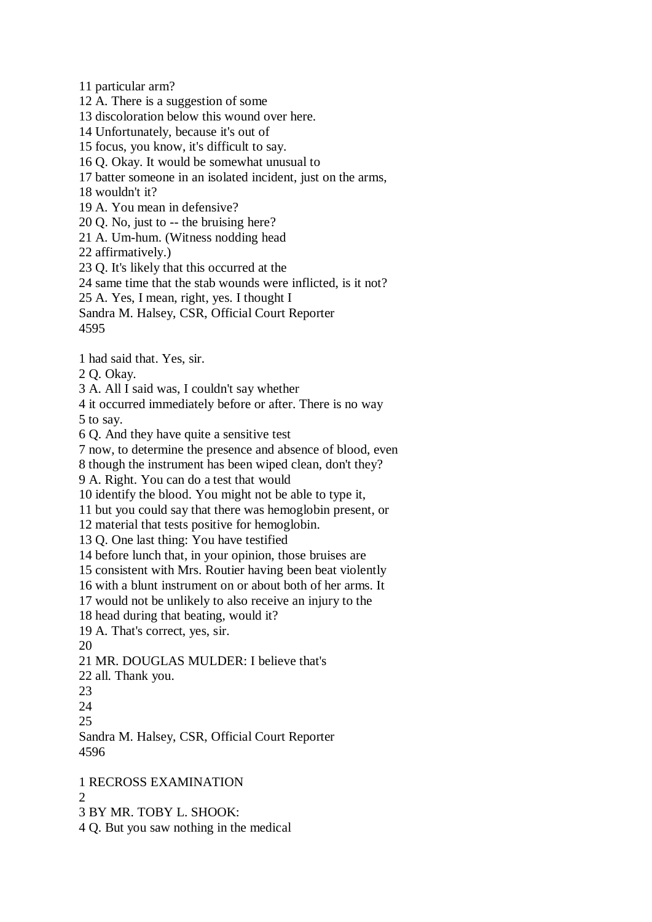11 particular arm?

12 A. There is a suggestion of some

13 discoloration below this wound over here.

- 14 Unfortunately, because it's out of
- 15 focus, you know, it's difficult to say.

16 Q. Okay. It would be somewhat unusual to

17 batter someone in an isolated incident, just on the arms,

18 wouldn't it?

19 A. You mean in defensive?

20 Q. No, just to -- the bruising here?

21 A. Um-hum. (Witness nodding head

22 affirmatively.)

23 Q. It's likely that this occurred at the

24 same time that the stab wounds were inflicted, is it not?

25 A. Yes, I mean, right, yes. I thought I

Sandra M. Halsey, CSR, Official Court Reporter

4595

1 had said that. Yes, sir.

2 Q. Okay.

3 A. All I said was, I couldn't say whether

4 it occurred immediately before or after. There is no way 5 to say.

6 Q. And they have quite a sensitive test

7 now, to determine the presence and absence of blood, even

8 though the instrument has been wiped clean, don't they?

9 A. Right. You can do a test that would

10 identify the blood. You might not be able to type it,

11 but you could say that there was hemoglobin present, or

12 material that tests positive for hemoglobin.

13 Q. One last thing: You have testified

14 before lunch that, in your opinion, those bruises are

15 consistent with Mrs. Routier having been beat violently

16 with a blunt instrument on or about both of her arms. It

17 would not be unlikely to also receive an injury to the

18 head during that beating, would it?

19 A. That's correct, yes, sir.

20

21 MR. DOUGLAS MULDER: I believe that's

22 all. Thank you.

23

24

25

Sandra M. Halsey, CSR, Official Court Reporter 4596

1 RECROSS EXAMINATION

 $\Omega$ 

3 BY MR. TOBY L. SHOOK:

4 Q. But you saw nothing in the medical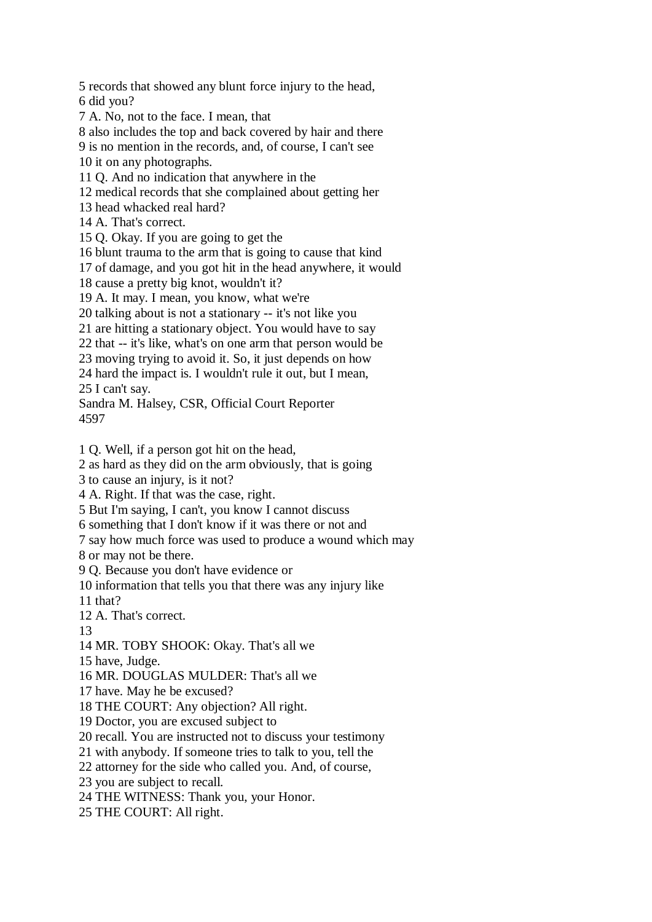5 records that showed any blunt force injury to the head, 6 did you?

7 A. No, not to the face. I mean, that

8 also includes the top and back covered by hair and there

9 is no mention in the records, and, of course, I can't see

10 it on any photographs.

11 Q. And no indication that anywhere in the

12 medical records that she complained about getting her

13 head whacked real hard?

14 A. That's correct.

15 Q. Okay. If you are going to get the

16 blunt trauma to the arm that is going to cause that kind

17 of damage, and you got hit in the head anywhere, it would

18 cause a pretty big knot, wouldn't it?

19 A. It may. I mean, you know, what we're

20 talking about is not a stationary -- it's not like you

21 are hitting a stationary object. You would have to say

22 that -- it's like, what's on one arm that person would be

23 moving trying to avoid it. So, it just depends on how

24 hard the impact is. I wouldn't rule it out, but I mean, 25 I can't say.

Sandra M. Halsey, CSR, Official Court Reporter 4597

1 Q. Well, if a person got hit on the head,

2 as hard as they did on the arm obviously, that is going

3 to cause an injury, is it not?

4 A. Right. If that was the case, right.

5 But I'm saying, I can't, you know I cannot discuss

6 something that I don't know if it was there or not and

7 say how much force was used to produce a wound which may

8 or may not be there.

9 Q. Because you don't have evidence or

10 information that tells you that there was any injury like

11 that?

12 A. That's correct.

13

14 MR. TOBY SHOOK: Okay. That's all we

15 have, Judge.

16 MR. DOUGLAS MULDER: That's all we

17 have. May he be excused?

18 THE COURT: Any objection? All right.

19 Doctor, you are excused subject to

20 recall. You are instructed not to discuss your testimony

21 with anybody. If someone tries to talk to you, tell the

22 attorney for the side who called you. And, of course,

23 you are subject to recall.

24 THE WITNESS: Thank you, your Honor.

25 THE COURT: All right.